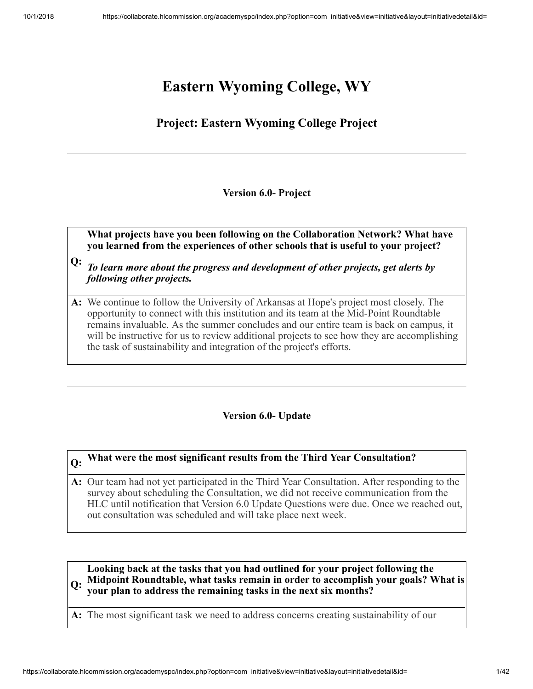# **Eastern Wyoming College, WY**

## **Project: Eastern Wyoming College Project**

#### **Version 6.0- Project**

**What projects have you been following on the Collaboration Network? What have you learned from the experiences of other schools that is useful to your project?**

- **Q:** *To learn more about the progress and development of other projects, get alerts by following other projects.*
- **A:** We continue to follow the University of Arkansas at Hope's project most closely. The opportunity to connect with this institution and its team at the Mid-Point Roundtable remains invaluable. As the summer concludes and our entire team is back on campus, it will be instructive for us to review additional projects to see how they are accomplishing the task of sustainability and integration of the project's efforts.

#### **Version 6.0- Update**

## **Q: What were the most significant results from the Third Year Consultation?**

**A:** Our team had not yet participated in the Third Year Consultation. After responding to the survey about scheduling the Consultation, we did not receive communication from the HLC until notification that Version 6.0 Update Questions were due. Once we reached out, out consultation was scheduled and will take place next week.

#### **Q: Midpoint Roundtable, what tasks remain in order to accomplish your goals? What is Looking back at the tasks that you had outlined for your project following the your plan to address the remaining tasks in the next six months?**

**A:** The most significant task we need to address concerns creating sustainability of our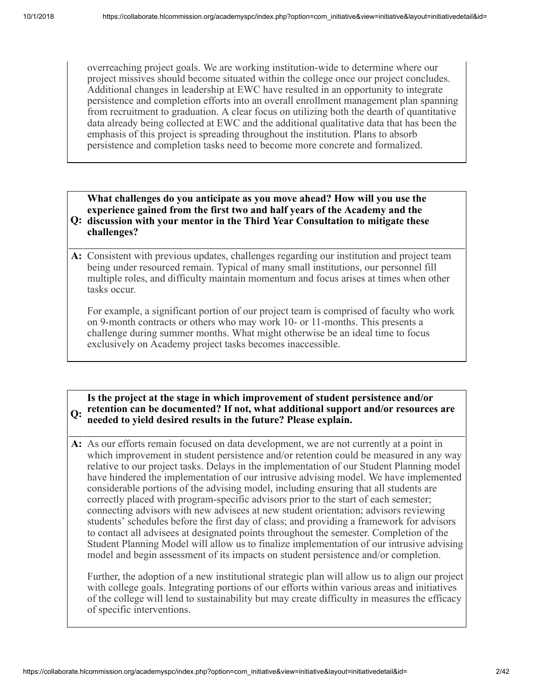overreaching project goals. We are working institution-wide to determine where our project missives should become situated within the college once our project concludes. Additional changes in leadership at EWC have resulted in an opportunity to integrate persistence and completion efforts into an overall enrollment management plan spanning from recruitment to graduation. A clear focus on utilizing both the dearth of quantitative data already being collected at EWC and the additional qualitative data that has been the emphasis of this project is spreading throughout the institution. Plans to absorb persistence and completion tasks need to become more concrete and formalized.

#### **Q: discussion with your mentor in the Third Year Consultation to mitigate these What challenges do you anticipate as you move ahead? How will you use the experience gained from the first two and half years of the Academy and the challenges?**

**A:** Consistent with previous updates, challenges regarding our institution and project team being under resourced remain. Typical of many small institutions, our personnel fill multiple roles, and difficulty maintain momentum and focus arises at times when other tasks occur.

For example, a significant portion of our project team is comprised of faculty who work on 9-month contracts or others who may work 10- or 11-months. This presents a challenge during summer months. What might otherwise be an ideal time to focus exclusively on Academy project tasks becomes inaccessible.

#### **Q: retention can be documented? If not, what additional support and/or resources are Is the project at the stage in which improvement of student persistence and/or needed to yield desired results in the future? Please explain.**

**A:** As our efforts remain focused on data development, we are not currently at a point in which improvement in student persistence and/or retention could be measured in any way relative to our project tasks. Delays in the implementation of our Student Planning model have hindered the implementation of our intrusive advising model. We have implemented considerable portions of the advising model, including ensuring that all students are correctly placed with program-specific advisors prior to the start of each semester; connecting advisors with new advisees at new student orientation; advisors reviewing students' schedules before the first day of class; and providing a framework for advisors to contact all advisees at designated points throughout the semester. Completion of the Student Planning Model will allow us to finalize implementation of our intrusive advising model and begin assessment of its impacts on student persistence and/or completion.

Further, the adoption of a new institutional strategic plan will allow us to align our project with college goals. Integrating portions of our efforts within various areas and initiatives of the college will lend to sustainability but may create difficulty in measures the efficacy of specific interventions.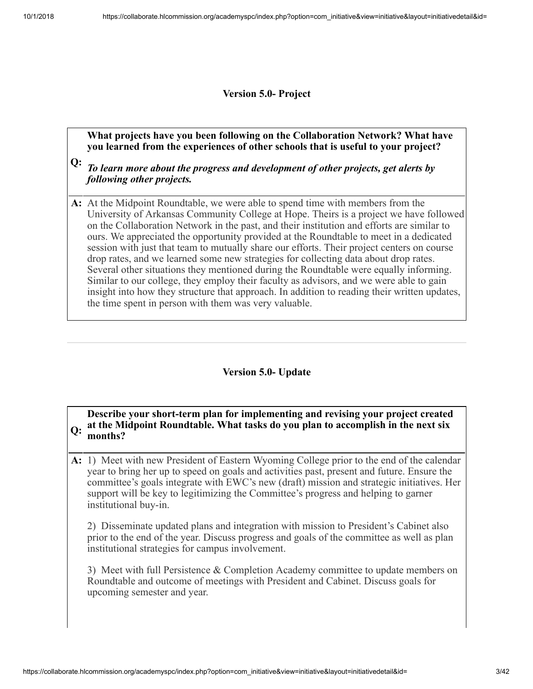**Version 5.0- Project**

**What projects have you been following on the Collaboration Network? What have you learned from the experiences of other schools that is useful to your project?**

**Q:** *To learn more about the progress and development of other projects, get alerts by following other projects.*

**A:** At the Midpoint Roundtable, we were able to spend time with members from the University of Arkansas Community College at Hope. Theirs is a project we have followed on the Collaboration Network in the past, and their institution and efforts are similar to ours. We appreciated the opportunity provided at the Roundtable to meet in a dedicated session with just that team to mutually share our efforts. Their project centers on course drop rates, and we learned some new strategies for collecting data about drop rates. Several other situations they mentioned during the Roundtable were equally informing. Similar to our college, they employ their faculty as advisors, and we were able to gain insight into how they structure that approach. In addition to reading their written updates, the time spent in person with them was very valuable.

#### **Version 5.0- Update**

**Q: at the Midpoint Roundtable. What tasks do you plan to accomplish in the next six Describe your short-term plan for implementing and revising your project created months?**

**A:** 1) Meet with new President of Eastern Wyoming College prior to the end of the calendar year to bring her up to speed on goals and activities past, present and future. Ensure the committee's goals integrate with EWC's new (draft) mission and strategic initiatives. Her support will be key to legitimizing the Committee's progress and helping to garner institutional buy-in.

2) Disseminate updated plans and integration with mission to President's Cabinet also prior to the end of the year. Discuss progress and goals of the committee as well as plan institutional strategies for campus involvement.

3) Meet with full Persistence & Completion Academy committee to update members on Roundtable and outcome of meetings with President and Cabinet. Discuss goals for upcoming semester and year.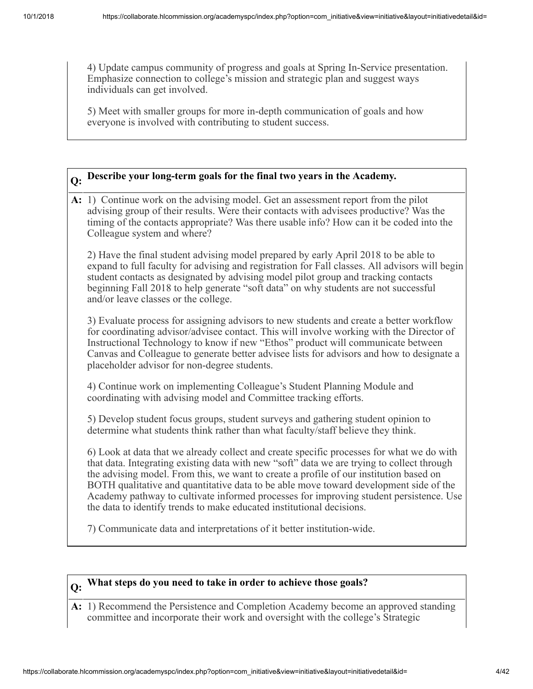4) Update campus community of progress and goals at Spring In-Service presentation. Emphasize connection to college's mission and strategic plan and suggest ways individuals can get involved.

5) Meet with smaller groups for more in-depth communication of goals and how everyone is involved with contributing to student success.

# **Q: Describe your long-term goals for the final two years in the Academy.**

**A:** 1) Continue work on the advising model. Get an assessment report from the pilot advising group of their results. Were their contacts with advisees productive? Was the timing of the contacts appropriate? Was there usable info? How can it be coded into the Colleague system and where?

2) Have the final student advising model prepared by early April 2018 to be able to expand to full faculty for advising and registration for Fall classes. All advisors will begin student contacts as designated by advising model pilot group and tracking contacts beginning Fall 2018 to help generate "soft data" on why students are not successful and/or leave classes or the college.

3) Evaluate process for assigning advisors to new students and create a better workflow for coordinating advisor/advisee contact. This will involve working with the Director of Instructional Technology to know if new "Ethos" product will communicate between Canvas and Colleague to generate better advisee lists for advisors and how to designate a placeholder advisor for non-degree students.

4) Continue work on implementing Colleague's Student Planning Module and coordinating with advising model and Committee tracking efforts.

5) Develop student focus groups, student surveys and gathering student opinion to determine what students think rather than what faculty/staff believe they think.

6) Look at data that we already collect and create specific processes for what we do with that data. Integrating existing data with new "soft" data we are trying to collect through the advising model. From this, we want to create a profile of our institution based on BOTH qualitative and quantitative data to be able move toward development side of the Academy pathway to cultivate informed processes for improving student persistence. Use the data to identify trends to make educated institutional decisions.

7) Communicate data and interpretations of it better institution-wide.

### **Q: What steps do you need to take in order to achieve those goals?**

**A:** 1) Recommend the Persistence and Completion Academy become an approved standing committee and incorporate their work and oversight with the college's Strategic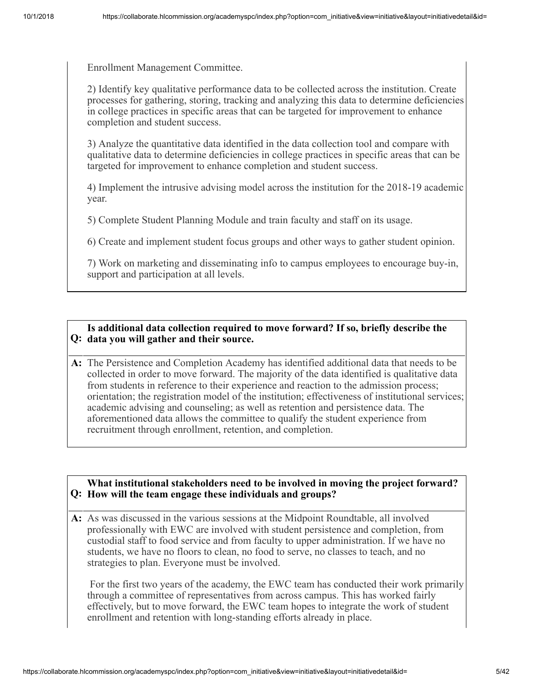Enrollment Management Committee.

2) Identify key qualitative performance data to be collected across the institution. Create processes for gathering, storing, tracking and analyzing this data to determine deficiencies in college practices in specific areas that can be targeted for improvement to enhance completion and student success.

3) Analyze the quantitative data identified in the data collection tool and compare with qualitative data to determine deficiencies in college practices in specific areas that can be targeted for improvement to enhance completion and student success.

4) Implement the intrusive advising model across the institution for the 2018-19 academic year.

5) Complete Student Planning Module and train faculty and staff on its usage.

6) Create and implement student focus groups and other ways to gather student opinion.

7) Work on marketing and disseminating info to campus employees to encourage buy-in, support and participation at all levels.

#### **Q: data you will gather and their source. Is additional data collection required to move forward? If so, briefly describe the**

**A:** The Persistence and Completion Academy has identified additional data that needs to be collected in order to move forward. The majority of the data identified is qualitative data from students in reference to their experience and reaction to the admission process; orientation; the registration model of the institution; effectiveness of institutional services; academic advising and counseling; as well as retention and persistence data. The aforementioned data allows the committee to qualify the student experience from recruitment through enrollment, retention, and completion.

#### **Q: How will the team engage these individuals and groups? What institutional stakeholders need to be involved in moving the project forward?**

**A:** As was discussed in the various sessions at the Midpoint Roundtable, all involved professionally with EWC are involved with student persistence and completion, from custodial staff to food service and from faculty to upper administration. If we have no students, we have no floors to clean, no food to serve, no classes to teach, and no strategies to plan. Everyone must be involved.

 For the first two years of the academy, the EWC team has conducted their work primarily through a committee of representatives from across campus. This has worked fairly effectively, but to move forward, the EWC team hopes to integrate the work of student enrollment and retention with long-standing efforts already in place.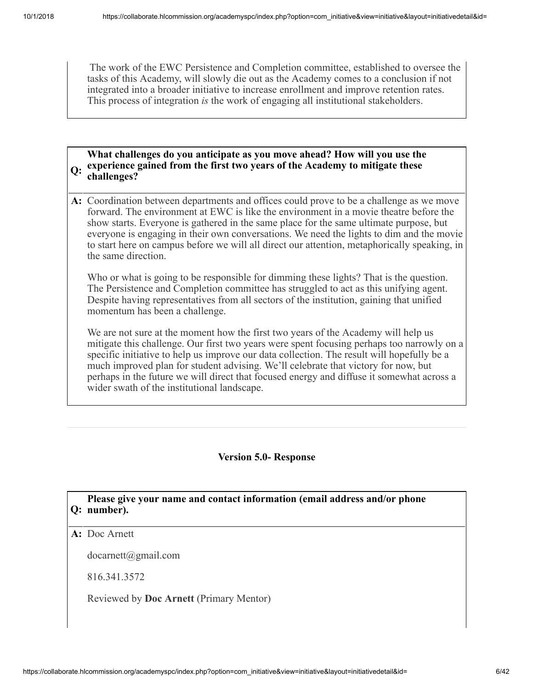The work of the EWC Persistence and Completion committee, established to oversee the tasks of this Academy, will slowly die out as the Academy comes to a conclusion if not integrated into a broader initiative to increase enrollment and improve retention rates. This process of integration *is* the work of engaging all institutional stakeholders.

#### **Q: experience gained from the first two years of the Academy to mitigate these What challenges do you anticipate as you move ahead? How will you use the challenges?**

**A:** Coordination between departments and offices could prove to be a challenge as we move forward. The environment at EWC is like the environment in a movie theatre before the show starts. Everyone is gathered in the same place for the same ultimate purpose, but everyone is engaging in their own conversations. We need the lights to dim and the movie to start here on campus before we will all direct our attention, metaphorically speaking, in the same direction.

Who or what is going to be responsible for dimming these lights? That is the question. The Persistence and Completion committee has struggled to act as this unifying agent. Despite having representatives from all sectors of the institution, gaining that unified momentum has been a challenge.

We are not sure at the moment how the first two years of the Academy will help us mitigate this challenge. Our first two years were spent focusing perhaps too narrowly on a specific initiative to help us improve our data collection. The result will hopefully be a much improved plan for student advising. We'll celebrate that victory for now, but perhaps in the future we will direct that focused energy and diffuse it somewhat across a wider swath of the institutional landscape.

#### **Version 5.0- Response**

#### **Q: number). Please give your name and contact information (email address and/or phone**

#### **A:** Doc Arnett

docarnett@gmail.com

816.341.3572

Reviewed by **Doc Arnett** (Primary Mentor)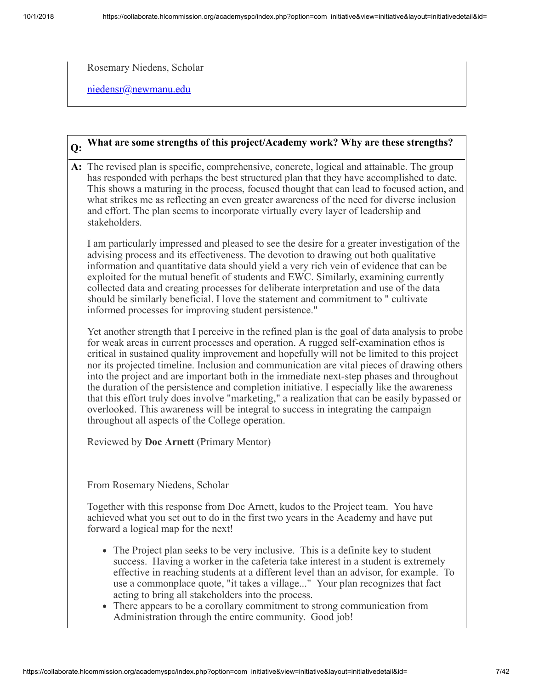Rosemary Niedens, Scholar

[niedensr@newmanu.edu](mailto:niedensr@newmanu.edu)

## **Q: What are some strengths of this project/Academy work? Why are these strengths?**

**A:** The revised plan is specific, comprehensive, concrete, logical and attainable. The group has responded with perhaps the best structured plan that they have accomplished to date. This shows a maturing in the process, focused thought that can lead to focused action, and what strikes me as reflecting an even greater awareness of the need for diverse inclusion and effort. The plan seems to incorporate virtually every layer of leadership and stakeholders.

I am particularly impressed and pleased to see the desire for a greater investigation of the advising process and its effectiveness. The devotion to drawing out both qualitative information and quantitative data should yield a very rich vein of evidence that can be exploited for the mutual benefit of students and EWC. Similarly, examining currently collected data and creating processes for deliberate interpretation and use of the data should be similarly beneficial. I love the statement and commitment to " cultivate informed processes for improving student persistence."

Yet another strength that I perceive in the refined plan is the goal of data analysis to probe for weak areas in current processes and operation. A rugged self-examination ethos is critical in sustained quality improvement and hopefully will not be limited to this project nor its projected timeline. Inclusion and communication are vital pieces of drawing others into the project and are important both in the immediate next-step phases and throughout the duration of the persistence and completion initiative. I especially like the awareness that this effort truly does involve "marketing," a realization that can be easily bypassed or overlooked. This awareness will be integral to success in integrating the campaign throughout all aspects of the College operation.

Reviewed by **Doc Arnett** (Primary Mentor)

From Rosemary Niedens, Scholar

Together with this response from Doc Arnett, kudos to the Project team. You have achieved what you set out to do in the first two years in the Academy and have put forward a logical map for the next!

- The Project plan seeks to be very inclusive. This is a definite key to student success. Having a worker in the cafeteria take interest in a student is extremely effective in reaching students at a different level than an advisor, for example. To use a commonplace quote, "it takes a village..." Your plan recognizes that fact acting to bring all stakeholders into the process.
- There appears to be a corollary commitment to strong communication from Administration through the entire community. Good job!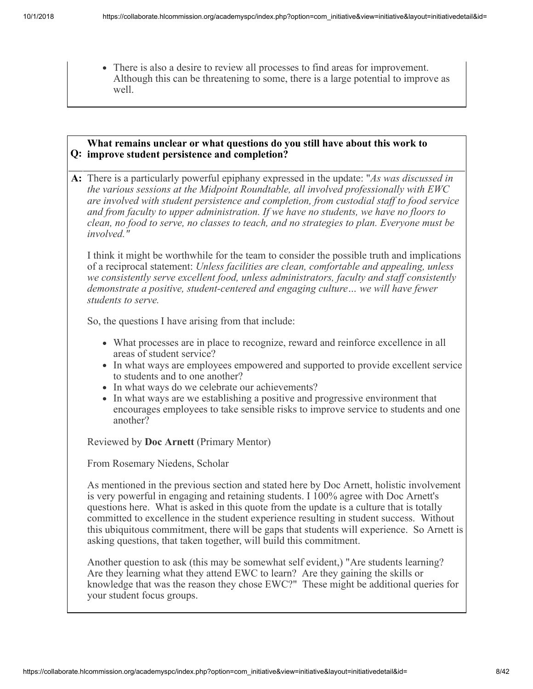There is also a desire to review all processes to find areas for improvement. Although this can be threatening to some, there is a large potential to improve as well.

#### **Q: improve student persistence and completion? What remains unclear or what questions do you still have about this work to**

**A:** There is a particularly powerful epiphany expressed in the update: "*As was discussed in the various sessions at the Midpoint Roundtable, all involved professionally with EWC are involved with student persistence and completion, from custodial staff to food service and from faculty to upper administration. If we have no students, we have no floors to clean, no food to serve, no classes to teach, and no strategies to plan. Everyone must be involved."*

I think it might be worthwhile for the team to consider the possible truth and implications of a reciprocal statement: *Unless facilities are clean, comfortable and appealing, unless we consistently serve excellent food, unless administrators, faculty and staff consistently demonstrate a positive, student-centered and engaging culture… we will have fewer students to serve.*

So, the questions I have arising from that include:

- What processes are in place to recognize, reward and reinforce excellence in all areas of student service?
- In what ways are employees empowered and supported to provide excellent service to students and to one another?
- In what ways do we celebrate our achievements?
- In what ways are we establishing a positive and progressive environment that encourages employees to take sensible risks to improve service to students and one another?

Reviewed by **Doc Arnett** (Primary Mentor)

From Rosemary Niedens, Scholar

As mentioned in the previous section and stated here by Doc Arnett, holistic involvement is very powerful in engaging and retaining students. I 100% agree with Doc Arnett's questions here. What is asked in this quote from the update is a culture that is totally committed to excellence in the student experience resulting in student success. Without this ubiquitous commitment, there will be gaps that students will experience. So Arnett is asking questions, that taken together, will build this commitment.

Another question to ask (this may be somewhat self evident,) "Are students learning? Are they learning what they attend EWC to learn? Are they gaining the skills or knowledge that was the reason they chose EWC?" These might be additional queries for your student focus groups.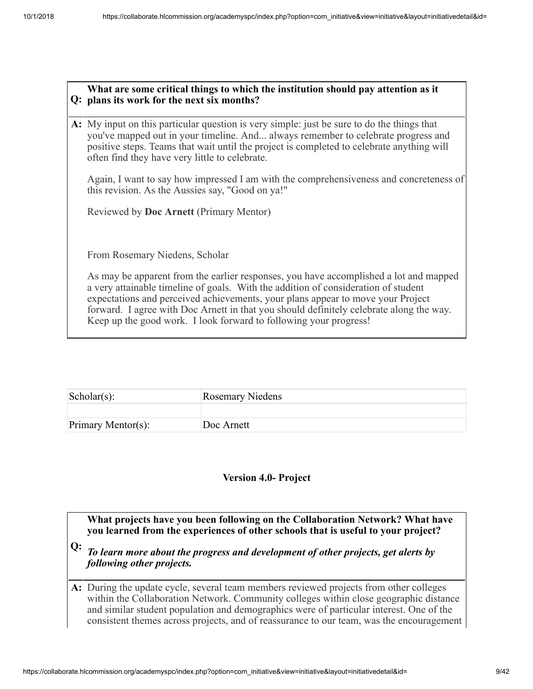#### **Q: plans its work for the next six months? What are some critical things to which the institution should pay attention as it**

**A:** My input on this particular question is very simple: just be sure to do the things that you've mapped out in your timeline. And... always remember to celebrate progress and positive steps. Teams that wait until the project is completed to celebrate anything will often find they have very little to celebrate.

Again, I want to say how impressed I am with the comprehensiveness and concreteness of this revision. As the Aussies say, "Good on ya!"

Reviewed by **Doc Arnett** (Primary Mentor)

From Rosemary Niedens, Scholar

As may be apparent from the earlier responses, you have accomplished a lot and mapped a very attainable timeline of goals. With the addition of consideration of student expectations and perceived achievements, your plans appear to move your Project forward. I agree with Doc Arnett in that you should definitely celebrate along the way. Keep up the good work. I look forward to following your progress!

| $\vert$ Scholar $(s)$ : | <b>Rosemary Niedens</b> |
|-------------------------|-------------------------|
|                         |                         |
| Primary Mentor(s):      | Doc Arnett              |

#### **Version 4.0- Project**

**What projects have you been following on the Collaboration Network? What have you learned from the experiences of other schools that is useful to your project?**

**Q:** *To learn more about the progress and development of other projects, get alerts by following other projects.*

**A:** During the update cycle, several team members reviewed projects from other colleges within the Collaboration Network. Community colleges within close geographic distance and similar student population and demographics were of particular interest. One of the consistent themes across projects, and of reassurance to our team, was the encouragement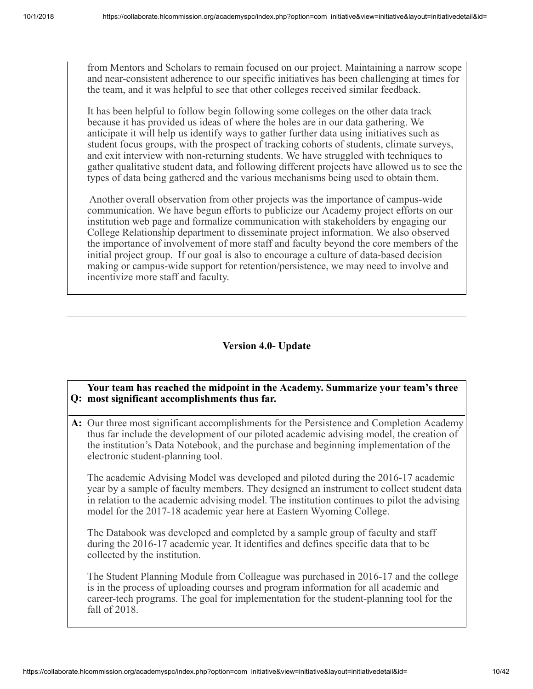from Mentors and Scholars to remain focused on our project. Maintaining a narrow scope and near-consistent adherence to our specific initiatives has been challenging at times for the team, and it was helpful to see that other colleges received similar feedback.

It has been helpful to follow begin following some colleges on the other data track because it has provided us ideas of where the holes are in our data gathering. We anticipate it will help us identify ways to gather further data using initiatives such as student focus groups, with the prospect of tracking cohorts of students, climate surveys, and exit interview with non-returning students. We have struggled with techniques to gather qualitative student data, and following different projects have allowed us to see the types of data being gathered and the various mechanisms being used to obtain them.

Another overall observation from other projects was the importance of campus-wide communication. We have begun efforts to publicize our Academy project efforts on our institution web page and formalize communication with stakeholders by engaging our College Relationship department to disseminate project information. We also observed the importance of involvement of more staff and faculty beyond the core members of the initial project group. If our goal is also to encourage a culture of data-based decision making or campus-wide support for retention/persistence, we may need to involve and incentivize more staff and faculty.

#### **Version 4.0- Update**

#### **Q: most significant accomplishments thus far. Your team has reached the midpoint in the Academy. Summarize your team's three**

**A:** Our three most significant accomplishments for the Persistence and Completion Academy thus far include the development of our piloted academic advising model, the creation of the institution's Data Notebook, and the purchase and beginning implementation of the electronic student-planning tool.

The academic Advising Model was developed and piloted during the 2016-17 academic year by a sample of faculty members. They designed an instrument to collect student data in relation to the academic advising model. The institution continues to pilot the advising model for the 2017-18 academic year here at Eastern Wyoming College.

The Databook was developed and completed by a sample group of faculty and staff during the 2016-17 academic year. It identifies and defines specific data that to be collected by the institution.

The Student Planning Module from Colleague was purchased in 2016-17 and the college is in the process of uploading courses and program information for all academic and career-tech programs. The goal for implementation for the student-planning tool for the fall of 2018.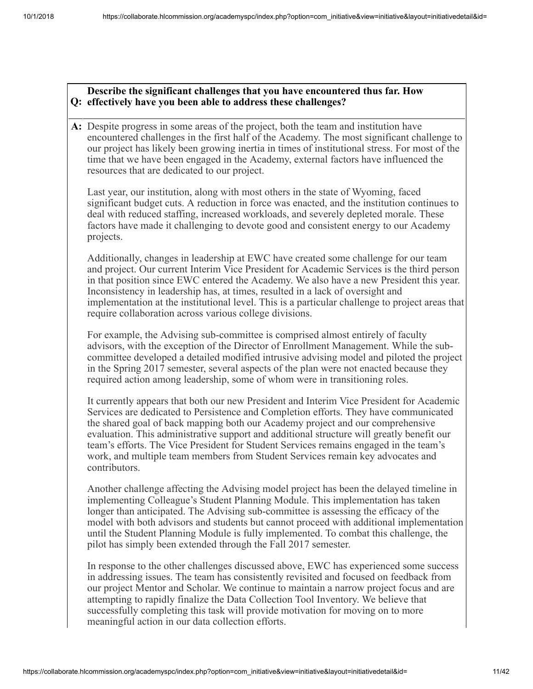#### **Q: effectively have you been able to address these challenges? Describe the significant challenges that you have encountered thus far. How**

**A:** Despite progress in some areas of the project, both the team and institution have encountered challenges in the first half of the Academy. The most significant challenge to our project has likely been growing inertia in times of institutional stress. For most of the time that we have been engaged in the Academy, external factors have influenced the resources that are dedicated to our project.

Last year, our institution, along with most others in the state of Wyoming, faced significant budget cuts. A reduction in force was enacted, and the institution continues to deal with reduced staffing, increased workloads, and severely depleted morale. These factors have made it challenging to devote good and consistent energy to our Academy projects.

Additionally, changes in leadership at EWC have created some challenge for our team and project. Our current Interim Vice President for Academic Services is the third person in that position since EWC entered the Academy. We also have a new President this year. Inconsistency in leadership has, at times, resulted in a lack of oversight and implementation at the institutional level. This is a particular challenge to project areas that require collaboration across various college divisions.

For example, the Advising sub-committee is comprised almost entirely of faculty advisors, with the exception of the Director of Enrollment Management. While the subcommittee developed a detailed modified intrusive advising model and piloted the project in the Spring 2017 semester, several aspects of the plan were not enacted because they required action among leadership, some of whom were in transitioning roles.

It currently appears that both our new President and Interim Vice President for Academic Services are dedicated to Persistence and Completion efforts. They have communicated the shared goal of back mapping both our Academy project and our comprehensive evaluation. This administrative support and additional structure will greatly benefit our team's efforts. The Vice President for Student Services remains engaged in the team's work, and multiple team members from Student Services remain key advocates and contributors.

Another challenge affecting the Advising model project has been the delayed timeline in implementing Colleague's Student Planning Module. This implementation has taken longer than anticipated. The Advising sub-committee is assessing the efficacy of the model with both advisors and students but cannot proceed with additional implementation until the Student Planning Module is fully implemented. To combat this challenge, the pilot has simply been extended through the Fall 2017 semester.

In response to the other challenges discussed above, EWC has experienced some success in addressing issues. The team has consistently revisited and focused on feedback from our project Mentor and Scholar. We continue to maintain a narrow project focus and are attempting to rapidly finalize the Data Collection Tool Inventory. We believe that successfully completing this task will provide motivation for moving on to more meaningful action in our data collection efforts.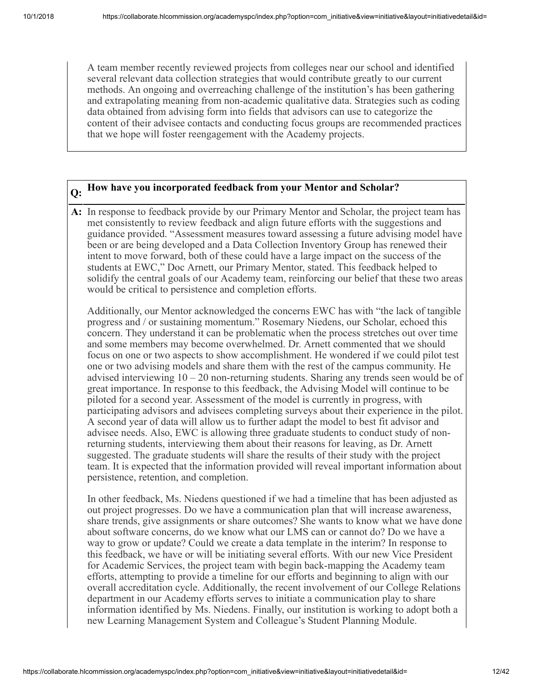A team member recently reviewed projects from colleges near our school and identified several relevant data collection strategies that would contribute greatly to our current methods. An ongoing and overreaching challenge of the institution's has been gathering and extrapolating meaning from non-academic qualitative data. Strategies such as coding data obtained from advising form into fields that advisors can use to categorize the content of their advisee contacts and conducting focus groups are recommended practices that we hope will foster reengagement with the Academy projects.

# **Q: How have you incorporated feedback from your Mentor and Scholar?**

**A:** In response to feedback provide by our Primary Mentor and Scholar, the project team has met consistently to review feedback and align future efforts with the suggestions and guidance provided. "Assessment measures toward assessing a future advising model have been or are being developed and a Data Collection Inventory Group has renewed their intent to move forward, both of these could have a large impact on the success of the students at EWC," Doc Arnett, our Primary Mentor, stated. This feedback helped to solidify the central goals of our Academy team, reinforcing our belief that these two areas would be critical to persistence and completion efforts.

Additionally, our Mentor acknowledged the concerns EWC has with "the lack of tangible progress and / or sustaining momentum." Rosemary Niedens, our Scholar, echoed this concern. They understand it can be problematic when the process stretches out over time and some members may become overwhelmed. Dr. Arnett commented that we should focus on one or two aspects to show accomplishment. He wondered if we could pilot test one or two advising models and share them with the rest of the campus community. He advised interviewing 10 – 20 non-returning students. Sharing any trends seen would be of great importance. In response to this feedback, the Advising Model will continue to be piloted for a second year. Assessment of the model is currently in progress, with participating advisors and advisees completing surveys about their experience in the pilot. A second year of data will allow us to further adapt the model to best fit advisor and advisee needs. Also, EWC is allowing three graduate students to conduct study of nonreturning students, interviewing them about their reasons for leaving, as Dr. Arnett suggested. The graduate students will share the results of their study with the project team. It is expected that the information provided will reveal important information about persistence, retention, and completion.

In other feedback, Ms. Niedens questioned if we had a timeline that has been adjusted as out project progresses. Do we have a communication plan that will increase awareness, share trends, give assignments or share outcomes? She wants to know what we have done about software concerns, do we know what our LMS can or cannot do? Do we have a way to grow or update? Could we create a data template in the interim? In response to this feedback, we have or will be initiating several efforts. With our new Vice President for Academic Services, the project team with begin back-mapping the Academy team efforts, attempting to provide a timeline for our efforts and beginning to align with our overall accreditation cycle. Additionally, the recent involvement of our College Relations department in our Academy efforts serves to initiate a communication play to share information identified by Ms. Niedens. Finally, our institution is working to adopt both a new Learning Management System and Colleague's Student Planning Module.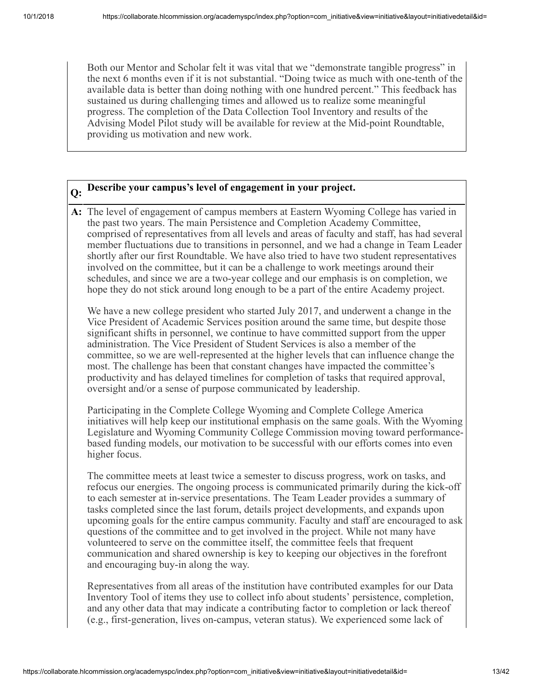Both our Mentor and Scholar felt it was vital that we "demonstrate tangible progress" in the next 6 months even if it is not substantial. "Doing twice as much with one-tenth of the available data is better than doing nothing with one hundred percent." This feedback has sustained us during challenging times and allowed us to realize some meaningful progress. The completion of the Data Collection Tool Inventory and results of the Advising Model Pilot study will be available for review at the Mid-point Roundtable, providing us motivation and new work.

# **Q: Describe your campus's level of engagement in your project.**

**A:** The level of engagement of campus members at Eastern Wyoming College has varied in the past two years. The main Persistence and Completion Academy Committee, comprised of representatives from all levels and areas of faculty and staff, has had several member fluctuations due to transitions in personnel, and we had a change in Team Leader shortly after our first Roundtable. We have also tried to have two student representatives involved on the committee, but it can be a challenge to work meetings around their schedules, and since we are a two-year college and our emphasis is on completion, we hope they do not stick around long enough to be a part of the entire Academy project.

We have a new college president who started July 2017, and underwent a change in the Vice President of Academic Services position around the same time, but despite those significant shifts in personnel, we continue to have committed support from the upper administration. The Vice President of Student Services is also a member of the committee, so we are well-represented at the higher levels that can influence change the most. The challenge has been that constant changes have impacted the committee's productivity and has delayed timelines for completion of tasks that required approval, oversight and/or a sense of purpose communicated by leadership.

Participating in the Complete College Wyoming and Complete College America initiatives will help keep our institutional emphasis on the same goals. With the Wyoming Legislature and Wyoming Community College Commission moving toward performancebased funding models, our motivation to be successful with our efforts comes into even higher focus.

The committee meets at least twice a semester to discuss progress, work on tasks, and refocus our energies. The ongoing process is communicated primarily during the kick-off to each semester at in-service presentations. The Team Leader provides a summary of tasks completed since the last forum, details project developments, and expands upon upcoming goals for the entire campus community. Faculty and staff are encouraged to ask questions of the committee and to get involved in the project. While not many have volunteered to serve on the committee itself, the committee feels that frequent communication and shared ownership is key to keeping our objectives in the forefront and encouraging buy-in along the way.

Representatives from all areas of the institution have contributed examples for our Data Inventory Tool of items they use to collect info about students' persistence, completion, and any other data that may indicate a contributing factor to completion or lack thereof (e.g., first-generation, lives on-campus, veteran status). We experienced some lack of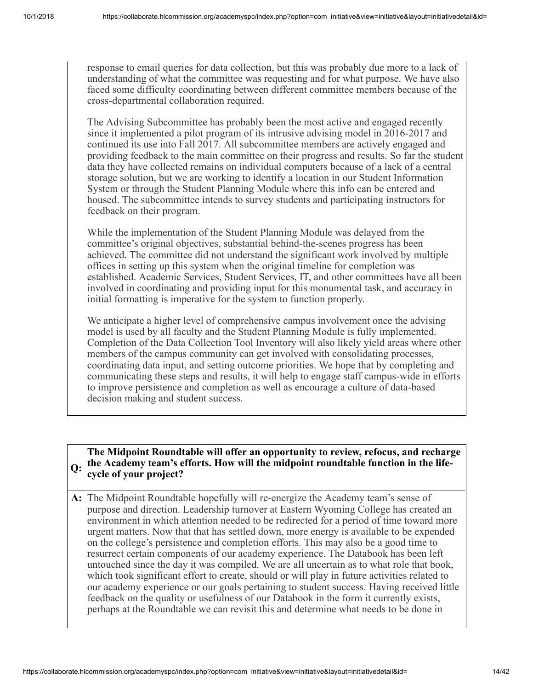response to email queries for data collection, but this was probably due more to a lack of understanding of what the committee was requesting and for what purpose. We have also faced some difficulty coordinating between different committee members because of the cross-departmental collaboration required.

The Advising Subcommittee has probably been the most active and engaged recently since it implemented a pilot program of its intrusive advising model in 2016-2017 and continued its use into Fall 2017. All subcommittee members are actively engaged and providing feedback to the main committee on their progress and results. So far the student data they have collected remains on individual computers because of a lack of a central storage solution, but we are working to identify a location in our Student Information System or through the Student Planning Module where this info can be entered and housed. The subcommittee intends to survey students and participating instructors for feedback on their program.

While the implementation of the Student Planning Module was delayed from the committee's original objectives, substantial behind-the-scenes progress has been achieved. The committee did not understand the significant work involved by multiple offices in setting up this system when the original timeline for completion was established. Academic Services, Student Services, IT, and other committees have all been involved in coordinating and providing input for this monumental task, and accuracy in initial formatting is imperative for the system to function properly.

We anticipate a higher level of comprehensive campus involvement once the advising model is used by all faculty and the Student Planning Module is fully implemented. Completion of the Data Collection Tool Inventory will also likely yield areas where other members of the campus community can get involved with consolidating processes, coordinating data input, and setting outcome priorities. We hope that by completing and communicating these steps and results, it will help to engage staff campus-wide in efforts to improve persistence and completion as well as encourage a culture of data-based decision making and student success.

#### **Q: the Academy team's efforts. How will the midpoint roundtable function in the life-The Midpoint Roundtable will offer an opportunity to review, refocus, and recharge cycle of your project?**

**A:** The Midpoint Roundtable hopefully will re-energize the Academy team's sense of purpose and direction. Leadership turnover at Eastern Wyoming College has created an environment in which attention needed to be redirected for a period of time toward more urgent matters. Now that that has settled down, more energy is available to be expended on the college's persistence and completion efforts. This may also be a good time to resurrect certain components of our academy experience. The Databook has been left untouched since the day it was compiled. We are all uncertain as to what role that book, which took significant effort to create, should or will play in future activities related to our academy experience or our goals pertaining to student success. Having received little feedback on the quality or usefulness of our Databook in the form it currently exists, perhaps at the Roundtable we can revisit this and determine what needs to be done in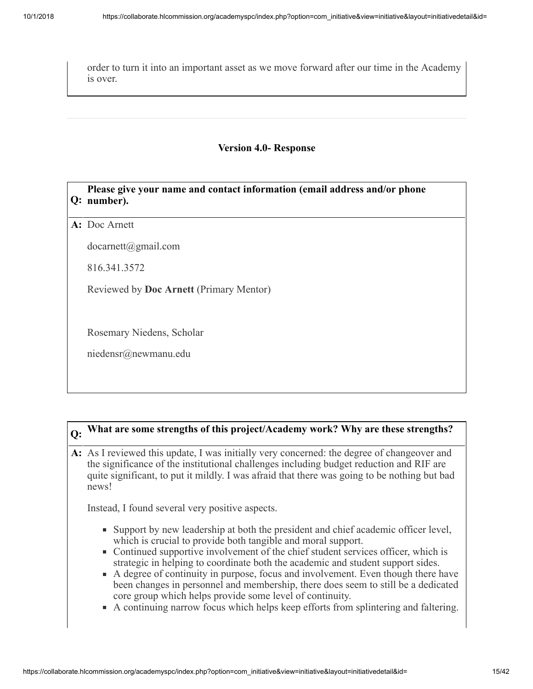order to turn it into an important asset as we move forward after our time in the Academy is over.

#### **Version 4.0- Response**

#### **Q: number). Please give your name and contact information (email address and/or phone**

**A:** Doc Arnett

docarnett@gmail.com

816.341.3572

Reviewed by **Doc Arnett** (Primary Mentor)

Rosemary Niedens, Scholar

niedensr@newmanu.edu

## **Q: What are some strengths of this project/Academy work? Why are these strengths?**

**A:** As I reviewed this update, I was initially very concerned: the degree of changeover and the significance of the institutional challenges including budget reduction and RIF are quite significant, to put it mildly. I was afraid that there was going to be nothing but bad news!

Instead, I found several very positive aspects.

- Support by new leadership at both the president and chief academic officer level, which is crucial to provide both tangible and moral support.
- Continued supportive involvement of the chief student services officer, which is strategic in helping to coordinate both the academic and student support sides.
- A degree of continuity in purpose, focus and involvement. Even though there have been changes in personnel and membership, there does seem to still be a dedicated core group which helps provide some level of continuity.
- A continuing narrow focus which helps keep efforts from splintering and faltering.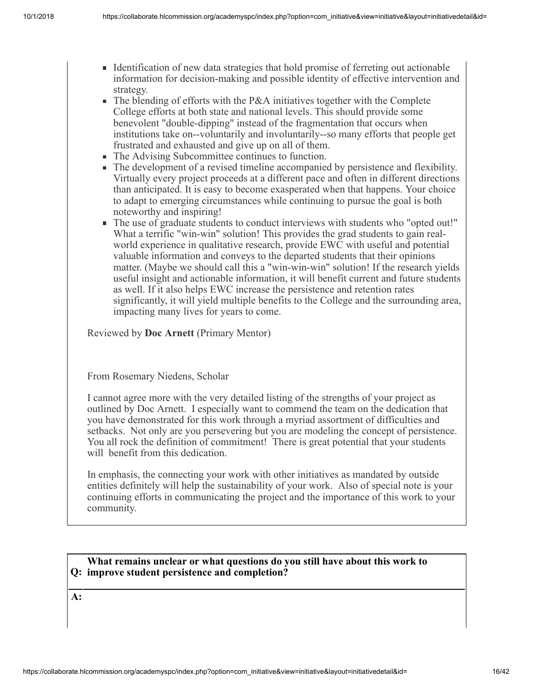- Identification of new data strategies that hold promise of ferreting out actionable information for decision-making and possible identity of effective intervention and strategy.
- The blending of efforts with the P&A initiatives together with the Complete College efforts at both state and national levels. This should provide some benevolent "double-dipping" instead of the fragmentation that occurs when institutions take on--voluntarily and involuntarily--so many efforts that people get frustrated and exhausted and give up on all of them.
- a. The Advising Subcommittee continues to function.
- The development of a revised timeline accompanied by persistence and flexibility. Virtually every project proceeds at a different pace and often in different directions than anticipated. It is easy to become exasperated when that happens. Your choice to adapt to emerging circumstances while continuing to pursue the goal is both noteworthy and inspiring!
- The use of graduate students to conduct interviews with students who "opted out!" a. What a terrific "win-win" solution! This provides the grad students to gain realworld experience in qualitative research, provide EWC with useful and potential valuable information and conveys to the departed students that their opinions matter. (Maybe we should call this a "win-win-win" solution! If the research yields useful insight and actionable information, it will benefit current and future students as well. If it also helps EWC increase the persistence and retention rates significantly, it will yield multiple benefits to the College and the surrounding area, impacting many lives for years to come.

Reviewed by **Doc Arnett** (Primary Mentor)

From Rosemary Niedens, Scholar

I cannot agree more with the very detailed listing of the strengths of your project as outlined by Doc Arnett. I especially want to commend the team on the dedication that you have demonstrated for this work through a myriad assortment of difficulties and setbacks. Not only are you persevering but you are modeling the concept of persistence. You all rock the definition of commitment! There is great potential that your students will benefit from this dedication.

In emphasis, the connecting your work with other initiatives as mandated by outside entities definitely will help the sustainability of your work. Also of special note is your continuing efforts in communicating the project and the importance of this work to your community.

#### **Q: improve student persistence and completion? What remains unclear or what questions do you still have about this work to**

**A:**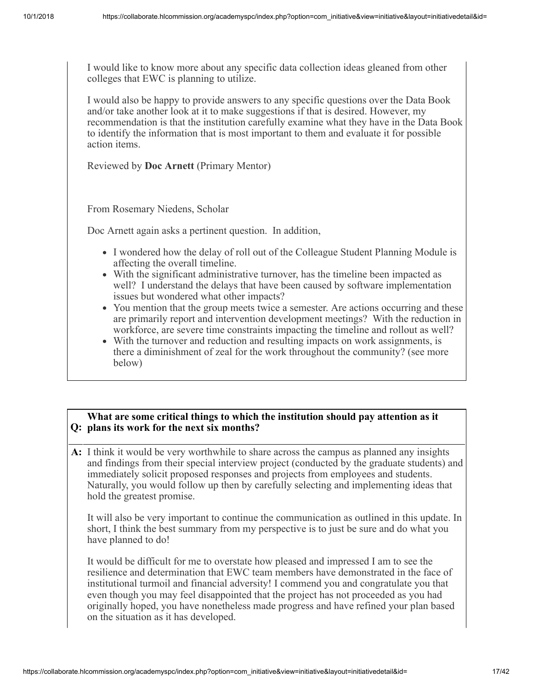I would like to know more about any specific data collection ideas gleaned from other colleges that EWC is planning to utilize.

I would also be happy to provide answers to any specific questions over the Data Book and/or take another look at it to make suggestions if that is desired. However, my recommendation is that the institution carefully examine what they have in the Data Book to identify the information that is most important to them and evaluate it for possible action items.

Reviewed by **Doc Arnett** (Primary Mentor)

From Rosemary Niedens, Scholar

Doc Arnett again asks a pertinent question. In addition,

- I wondered how the delay of roll out of the Colleague Student Planning Module is affecting the overall timeline.
- With the significant administrative turnover, has the timeline been impacted as well? I understand the delays that have been caused by software implementation issues but wondered what other impacts?
- You mention that the group meets twice a semester. Are actions occurring and these are primarily report and intervention development meetings? With the reduction in workforce, are severe time constraints impacting the timeline and rollout as well?
- With the turnover and reduction and resulting impacts on work assignments, is there a diminishment of zeal for the work throughout the community? (see more below)

#### **Q: plans its work for the next six months? What are some critical things to which the institution should pay attention as it**

**A:** I think it would be very worthwhile to share across the campus as planned any insights and findings from their special interview project (conducted by the graduate students) and immediately solicit proposed responses and projects from employees and students. Naturally, you would follow up then by carefully selecting and implementing ideas that hold the greatest promise.

It will also be very important to continue the communication as outlined in this update. In short, I think the best summary from my perspective is to just be sure and do what you have planned to do!

It would be difficult for me to overstate how pleased and impressed I am to see the resilience and determination that EWC team members have demonstrated in the face of institutional turmoil and financial adversity! I commend you and congratulate you that even though you may feel disappointed that the project has not proceeded as you had originally hoped, you have nonetheless made progress and have refined your plan based on the situation as it has developed.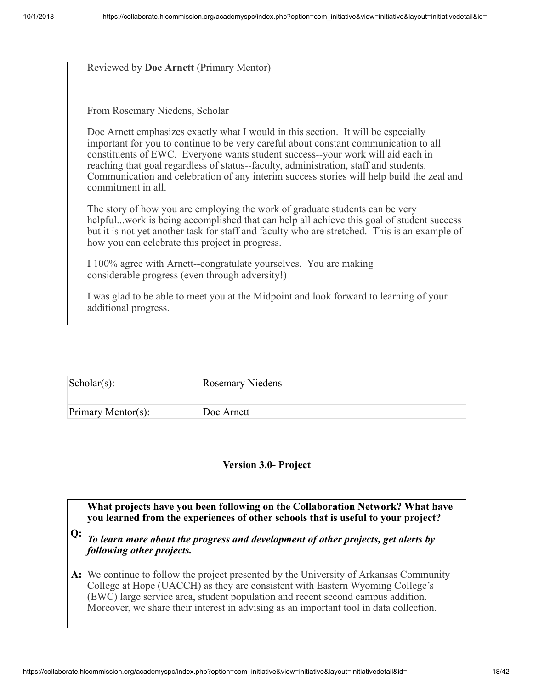#### Reviewed by **Doc Arnett** (Primary Mentor)

From Rosemary Niedens, Scholar

Doc Arnett emphasizes exactly what I would in this section. It will be especially important for you to continue to be very careful about constant communication to all constituents of EWC. Everyone wants student success--your work will aid each in reaching that goal regardless of status--faculty, administration, staff and students. Communication and celebration of any interim success stories will help build the zeal and commitment in all.

The story of how you are employing the work of graduate students can be very helpful...work is being accomplished that can help all achieve this goal of student success but it is not yet another task for staff and faculty who are stretched. This is an example of how you can celebrate this project in progress.

I 100% agree with Arnett--congratulate yourselves. You are making considerable progress (even through adversity!)

I was glad to be able to meet you at the Midpoint and look forward to learning of your additional progress.

| $\vert$ Scholar $(s)$ : | <b>Rosemary Niedens</b> |
|-------------------------|-------------------------|
|                         |                         |
| Primary Mentor(s):      | Doc Arnett              |

#### **Version 3.0- Project**

**What projects have you been following on the Collaboration Network? What have you learned from the experiences of other schools that is useful to your project?**

**Q:** *To learn more about the progress and development of other projects, get alerts by following other projects.*

**A:** We continue to follow the project presented by the University of Arkansas Community College at Hope (UACCH) as they are consistent with Eastern Wyoming College's (EWC) large service area, student population and recent second campus addition. Moreover, we share their interest in advising as an important tool in data collection.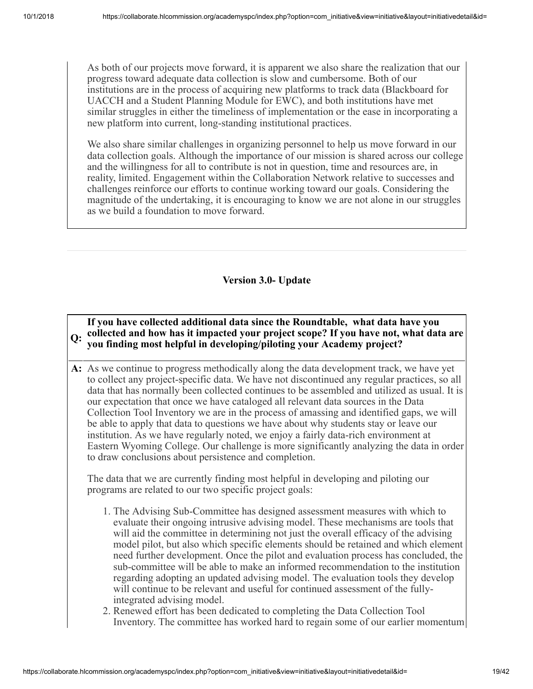As both of our projects move forward, it is apparent we also share the realization that our progress toward adequate data collection is slow and cumbersome. Both of our institutions are in the process of acquiring new platforms to track data (Blackboard for UACCH and a Student Planning Module for EWC), and both institutions have met similar struggles in either the timeliness of implementation or the ease in incorporating a new platform into current, long-standing institutional practices.

We also share similar challenges in organizing personnel to help us move forward in our data collection goals. Although the importance of our mission is shared across our college and the willingness for all to contribute is not in question, time and resources are, in reality, limited. Engagement within the Collaboration Network relative to successes and challenges reinforce our efforts to continue working toward our goals. Considering the magnitude of the undertaking, it is encouraging to know we are not alone in our struggles as we build a foundation to move forward.

#### **Version 3.0- Update**

#### **Q: collected and how has it impacted your project scope? If you have not, what data are If you have collected additional data since the Roundtable, what data have you you finding most helpful in developing/piloting your Academy project?**

**A:** As we continue to progress methodically along the data development track, we have yet to collect any project-specific data. We have not discontinued any regular practices, so all data that has normally been collected continues to be assembled and utilized as usual. It is our expectation that once we have cataloged all relevant data sources in the Data Collection Tool Inventory we are in the process of amassing and identified gaps, we will be able to apply that data to questions we have about why students stay or leave our institution. As we have regularly noted, we enjoy a fairly data-rich environment at Eastern Wyoming College. Our challenge is more significantly analyzing the data in order to draw conclusions about persistence and completion.

The data that we are currently finding most helpful in developing and piloting our programs are related to our two specific project goals:

- 1. The Advising Sub-Committee has designed assessment measures with which to evaluate their ongoing intrusive advising model. These mechanisms are tools that will aid the committee in determining not just the overall efficacy of the advising model pilot, but also which specific elements should be retained and which element need further development. Once the pilot and evaluation process has concluded, the sub-committee will be able to make an informed recommendation to the institution regarding adopting an updated advising model. The evaluation tools they develop will continue to be relevant and useful for continued assessment of the fullyintegrated advising model.
- 2. Renewed effort has been dedicated to completing the Data Collection Tool Inventory. The committee has worked hard to regain some of our earlier momentum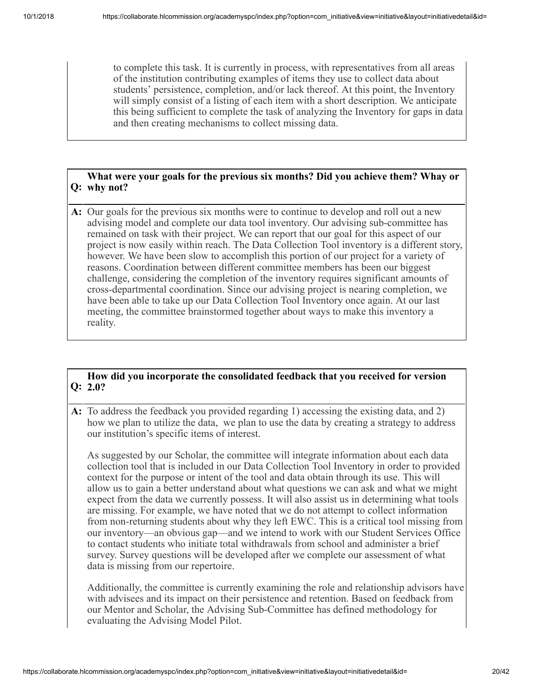to complete this task. It is currently in process, with representatives from all areas of the institution contributing examples of items they use to collect data about students' persistence, completion, and/or lack thereof. At this point, the Inventory will simply consist of a listing of each item with a short description. We anticipate this being sufficient to complete the task of analyzing the Inventory for gaps in data and then creating mechanisms to collect missing data.

#### **Q: why not? What were your goals for the previous six months? Did you achieve them? Whay or**

**A:** Our goals for the previous six months were to continue to develop and roll out a new advising model and complete our data tool inventory. Our advising sub-committee has remained on task with their project. We can report that our goal for this aspect of our project is now easily within reach. The Data Collection Tool inventory is a different story, however. We have been slow to accomplish this portion of our project for a variety of reasons. Coordination between different committee members has been our biggest challenge, considering the completion of the inventory requires significant amounts of cross-departmental coordination. Since our advising project is nearing completion, we have been able to take up our Data Collection Tool Inventory once again. At our last meeting, the committee brainstormed together about ways to make this inventory a reality.

#### **Q: 2.0? How did you incorporate the consolidated feedback that you received for version**

**A:** To address the feedback you provided regarding 1) accessing the existing data, and 2) how we plan to utilize the data, we plan to use the data by creating a strategy to address our institution's specific items of interest.

As suggested by our Scholar, the committee will integrate information about each data collection tool that is included in our Data Collection Tool Inventory in order to provided context for the purpose or intent of the tool and data obtain through its use. This will allow us to gain a better understand about what questions we can ask and what we might expect from the data we currently possess. It will also assist us in determining what tools are missing. For example, we have noted that we do not attempt to collect information from non-returning students about why they left EWC. This is a critical tool missing from our inventory—an obvious gap—and we intend to work with our Student Services Office to contact students who initiate total withdrawals from school and administer a brief survey. Survey questions will be developed after we complete our assessment of what data is missing from our repertoire.

Additionally, the committee is currently examining the role and relationship advisors have with advisees and its impact on their persistence and retention. Based on feedback from our Mentor and Scholar, the Advising Sub-Committee has defined methodology for evaluating the Advising Model Pilot.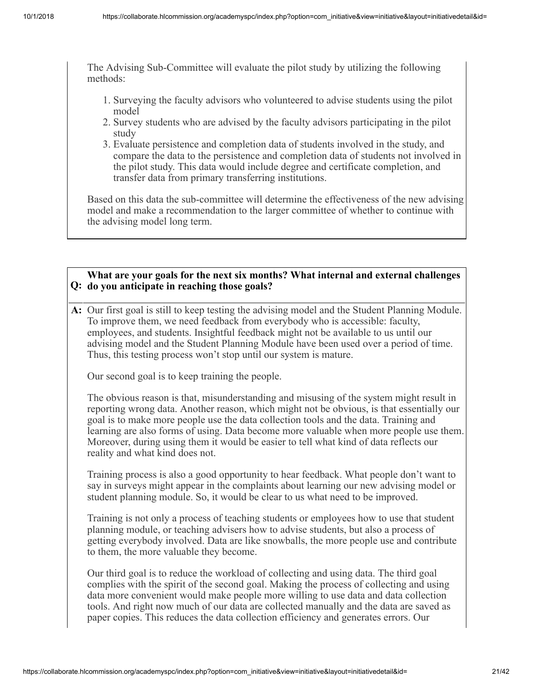The Advising Sub-Committee will evaluate the pilot study by utilizing the following methods:

- 1. Surveying the faculty advisors who volunteered to advise students using the pilot model
- 2. Survey students who are advised by the faculty advisors participating in the pilot study
- 3. Evaluate persistence and completion data of students involved in the study, and compare the data to the persistence and completion data of students not involved in the pilot study. This data would include degree and certificate completion, and transfer data from primary transferring institutions.

Based on this data the sub-committee will determine the effectiveness of the new advising model and make a recommendation to the larger committee of whether to continue with the advising model long term.

#### **Q: do you anticipate in reaching those goals? What are your goals for the next six months? What internal and external challenges**

**A:** Our first goal is still to keep testing the advising model and the Student Planning Module. To improve them, we need feedback from everybody who is accessible: faculty, employees, and students. Insightful feedback might not be available to us until our advising model and the Student Planning Module have been used over a period of time. Thus, this testing process won't stop until our system is mature.

Our second goal is to keep training the people.

The obvious reason is that, misunderstanding and misusing of the system might result in reporting wrong data. Another reason, which might not be obvious, is that essentially our goal is to make more people use the data collection tools and the data. Training and learning are also forms of using. Data become more valuable when more people use them. Moreover, during using them it would be easier to tell what kind of data reflects our reality and what kind does not.

Training process is also a good opportunity to hear feedback. What people don't want to say in surveys might appear in the complaints about learning our new advising model or student planning module. So, it would be clear to us what need to be improved.

Training is not only a process of teaching students or employees how to use that student planning module, or teaching advisers how to advise students, but also a process of getting everybody involved. Data are like snowballs, the more people use and contribute to them, the more valuable they become.

Our third goal is to reduce the workload of collecting and using data. The third goal complies with the spirit of the second goal. Making the process of collecting and using data more convenient would make people more willing to use data and data collection tools. And right now much of our data are collected manually and the data are saved as paper copies. This reduces the data collection efficiency and generates errors. Our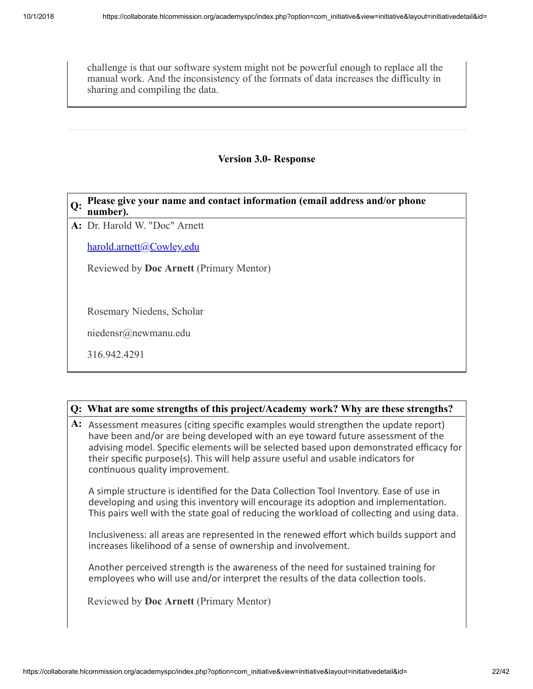challenge is that our software system might not be powerful enough to replace all the manual work. And the inconsistency of the formats of data increases the difficulty in sharing and compiling the data.

#### **Version 3.0- Response**

#### **Q: Please give your name and contact information (email address and/or phone number).**

**A:** Dr. Harold W. "Doc" Arnett

[harold.arnett@Cowley.edu](mailto:harold.arnett@Cowley.edu)

Reviewed by **Doc Arnett** (Primary Mentor)

Rosemary Niedens, Scholar

niedensr@newmanu.edu

316.942.4291

#### **Q: What are some strengths of this project/Academy work? Why are these strengths?**

A: Assessment measures (citing specific examples would strengthen the update report) have been and/or are being developed with an eye toward future assessment of the advising model. Specific elements will be selected based upon demonstrated efficacy for their specific purpose(s). This will help assure useful and usable indicators for continuous quality improvement.

A simple structure is identified for the Data Collection Tool Inventory. Ease of use in developing and using this inventory will encourage its adoption and implementation. This pairs well with the state goal of reducing the workload of collecting and using data.

Inclusiveness: all areas are represented in the renewed effort which builds support and increases likelihood of a sense of ownership and involvement.

Another perceived strength is the awareness of the need for sustained training for employees who will use and/or interpret the results of the data collection tools.

Reviewed by **Doc Arnett** (Primary Mentor)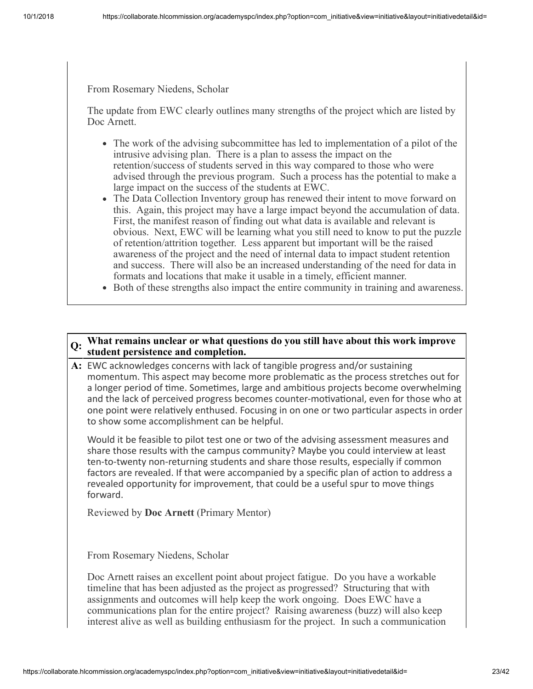From Rosemary Niedens, Scholar

The update from EWC clearly outlines many strengths of the project which are listed by Doc Arnett.

- The work of the advising subcommittee has led to implementation of a pilot of the intrusive advising plan. There is a plan to assess the impact on the retention/success of students served in this way compared to those who were advised through the previous program. Such a process has the potential to make a large impact on the success of the students at EWC.
- The Data Collection Inventory group has renewed their intent to move forward on this. Again, this project may have a large impact beyond the accumulation of data. First, the manifest reason of finding out what data is available and relevant is obvious. Next, EWC will be learning what you still need to know to put the puzzle of retention/attrition together. Less apparent but important will be the raised awareness of the project and the need of internal data to impact student retention and success. There will also be an increased understanding of the need for data in formats and locations that make it usable in a timely, efficient manner.
- Both of these strengths also impact the entire community in training and awareness.

#### **Q: What remains unclear or what questions do you still have about this work improve student persistence and completion.**

**A:** EWC acknowledges concerns with lack of tangible progress and/or sustaining momentum. This aspect may become more problematic as the process stretches out for a longer period of time. Sometimes, large and ambitious projects become overwhelming and the lack of perceived progress becomes counter-motivational, even for those who at one point were relatively enthused. Focusing in on one or two particular aspects in order to show some accomplishment can be helpful.

Would it be feasible to pilot test one or two of the advising assessment measures and share those results with the campus community? Maybe you could interview at least ten-to-twenty non-returning students and share those results, especially if common factors are revealed. If that were accompanied by a specific plan of action to address a revealed opportunity for improvement, that could be a useful spur to move things forward.

Reviewed by **Doc Arnett** (Primary Mentor)

From Rosemary Niedens, Scholar

Doc Arnett raises an excellent point about project fatigue. Do you have a workable timeline that has been adjusted as the project as progressed? Structuring that with assignments and outcomes will help keep the work ongoing. Does EWC have a communications plan for the entire project? Raising awareness (buzz) will also keep interest alive as well as building enthusiasm for the project. In such a communication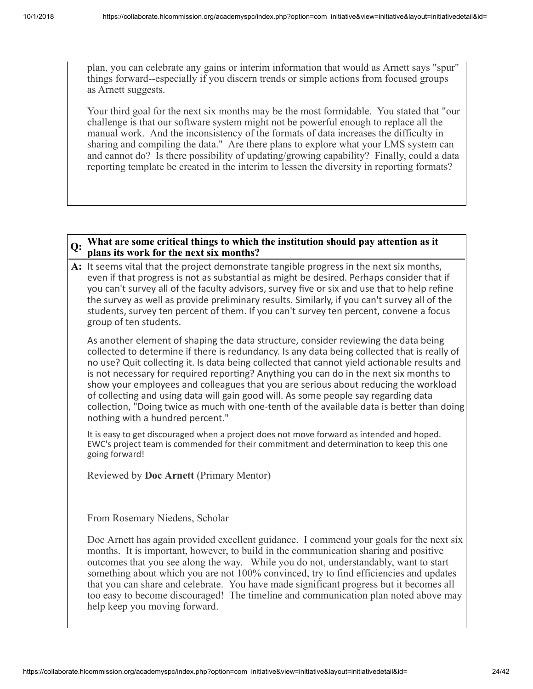plan, you can celebrate any gains or interim information that would as Arnett says "spur" things forward--especially if you discern trends or simple actions from focused groups as Arnett suggests.

Your third goal for the next six months may be the most formidable. You stated that "our challenge is that our software system might not be powerful enough to replace all the manual work. And the inconsistency of the formats of data increases the difficulty in sharing and compiling the data." Are there plans to explore what your LMS system can and cannot do? Is there possibility of updating/growing capability? Finally, could a data reporting template be created in the interim to lessen the diversity in reporting formats?

#### **Q: What are some critical things to which the institution should pay attention as it plans its work for the next six months?**

**A:** It seems vital that the project demonstrate tangible progress in the next six months, even if that progress is not as substantial as might be desired. Perhaps consider that if you can't survey all of the faculty advisors, survey five or six and use that to help refine the survey as well as provide preliminary results. Similarly, if you can't survey all of the students, survey ten percent of them. If you can't survey ten percent, convene a focus group of ten students.

As another element of shaping the data structure, consider reviewing the data being collected to determine if there is redundancy. Is any data being collected that is really of no use? Quit collecting it. Is data being collected that cannot yield actionable results and is not necessary for required reporting? Anything you can do in the next six months to show your employees and colleagues that you are serious about reducing the workload of collecting and using data will gain good will. As some people say regarding data collection, "Doing twice as much with one-tenth of the available data is better than doing nothing with a hundred percent."

It is easy to get discouraged when a project does not move forward as intended and hoped. EWC's project team is commended for their commitment and determination to keep this one going forward!

Reviewed by **Doc Arnett** (Primary Mentor)

From Rosemary Niedens, Scholar

Doc Arnett has again provided excellent guidance. I commend your goals for the next six months. It is important, however, to build in the communication sharing and positive outcomes that you see along the way. While you do not, understandably, want to start something about which you are not 100% convinced, try to find efficiencies and updates that you can share and celebrate. You have made significant progress but it becomes all too easy to become discouraged! The timeline and communication plan noted above may help keep you moving forward.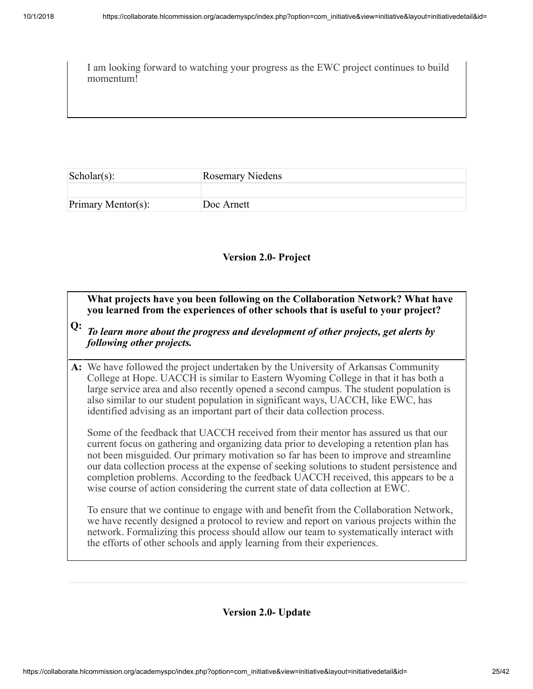I am looking forward to watching your progress as the EWC project continues to build momentum!

| $\text{Scholar}(s)$ : | <b>Rosemary Niedens</b> |
|-----------------------|-------------------------|
|                       |                         |
| Primary Mentor(s):    | Doc Arnett              |

#### **Version 2.0- Project**

**What projects have you been following on the Collaboration Network? What have you learned from the experiences of other schools that is useful to your project?**

- **Q:** *To learn more about the progress and development of other projects, get alerts by following other projects.*
- **A:** We have followed the project undertaken by the University of Arkansas Community College at Hope. UACCH is similar to Eastern Wyoming College in that it has both a large service area and also recently opened a second campus. The student population is also similar to our student population in significant ways, UACCH, like EWC, has identified advising as an important part of their data collection process.

Some of the feedback that UACCH received from their mentor has assured us that our current focus on gathering and organizing data prior to developing a retention plan has not been misguided. Our primary motivation so far has been to improve and streamline our data collection process at the expense of seeking solutions to student persistence and completion problems. According to the feedback UACCH received, this appears to be a wise course of action considering the current state of data collection at EWC.

To ensure that we continue to engage with and benefit from the Collaboration Network, we have recently designed a protocol to review and report on various projects within the network. Formalizing this process should allow our team to systematically interact with the efforts of other schools and apply learning from their experiences.

**Version 2.0- Update**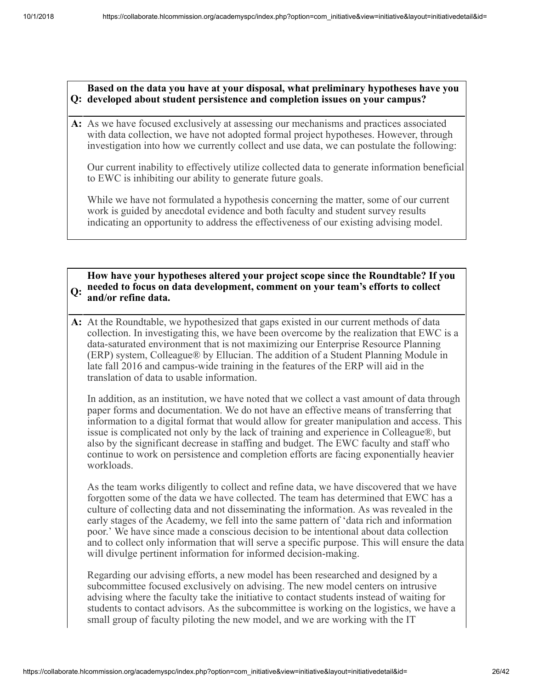**Q: developed about student persistence and completion issues on your campus? Based on the data you have at your disposal, what preliminary hypotheses have you**

**A:** As we have focused exclusively at assessing our mechanisms and practices associated with data collection, we have not adopted formal project hypotheses. However, through investigation into how we currently collect and use data, we can postulate the following:

Our current inability to effectively utilize collected data to generate information beneficial to EWC is inhibiting our ability to generate future goals.

While we have not formulated a hypothesis concerning the matter, some of our current work is guided by anecdotal evidence and both faculty and student survey results indicating an opportunity to address the effectiveness of our existing advising model.

#### **Q: needed to focus on data development, comment on your team's efforts to collect How have your hypotheses altered your project scope since the Roundtable? If you and/or refine data.**

**A:** At the Roundtable, we hypothesized that gaps existed in our current methods of data collection. In investigating this, we have been overcome by the realization that EWC is a data-saturated environment that is not maximizing our Enterprise Resource Planning (ERP) system, Colleague® by Ellucian. The addition of a Student Planning Module in late fall 2016 and campus-wide training in the features of the ERP will aid in the translation of data to usable information.

In addition, as an institution, we have noted that we collect a vast amount of data through paper forms and documentation. We do not have an effective means of transferring that information to a digital format that would allow for greater manipulation and access. This issue is complicated not only by the lack of training and experience in Colleague®, but also by the significant decrease in staffing and budget. The EWC faculty and staff who continue to work on persistence and completion efforts are facing exponentially heavier workloads.

As the team works diligently to collect and refine data, we have discovered that we have forgotten some of the data we have collected. The team has determined that EWC has a culture of collecting data and not disseminating the information. As was revealed in the early stages of the Academy, we fell into the same pattern of 'data rich and information poor.' We have since made a conscious decision to be intentional about data collection and to collect only information that will serve a specific purpose. This will ensure the data will divulge pertinent information for informed decision-making.

Regarding our advising efforts, a new model has been researched and designed by a subcommittee focused exclusively on advising. The new model centers on intrusive advising where the faculty take the initiative to contact students instead of waiting for students to contact advisors. As the subcommittee is working on the logistics, we have a small group of faculty piloting the new model, and we are working with the IT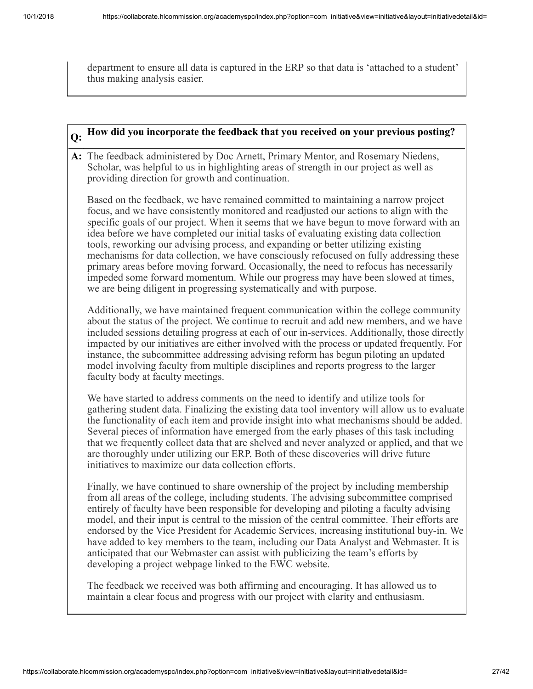department to ensure all data is captured in the ERP so that data is 'attached to a student' thus making analysis easier.

# **Q: How did you incorporate the feedback that you received on your previous posting? A:** The feedback administered by Doc Arnett, Primary Mentor, and Rosemary Niedens,

Scholar, was helpful to us in highlighting areas of strength in our project as well as providing direction for growth and continuation.

Based on the feedback, we have remained committed to maintaining a narrow project focus, and we have consistently monitored and readjusted our actions to align with the specific goals of our project. When it seems that we have begun to move forward with an idea before we have completed our initial tasks of evaluating existing data collection tools, reworking our advising process, and expanding or better utilizing existing mechanisms for data collection, we have consciously refocused on fully addressing these primary areas before moving forward. Occasionally, the need to refocus has necessarily impeded some forward momentum. While our progress may have been slowed at times, we are being diligent in progressing systematically and with purpose.

Additionally, we have maintained frequent communication within the college community about the status of the project. We continue to recruit and add new members, and we have included sessions detailing progress at each of our in-services. Additionally, those directly impacted by our initiatives are either involved with the process or updated frequently. For instance, the subcommittee addressing advising reform has begun piloting an updated model involving faculty from multiple disciplines and reports progress to the larger faculty body at faculty meetings.

We have started to address comments on the need to identify and utilize tools for gathering student data. Finalizing the existing data tool inventory will allow us to evaluate the functionality of each item and provide insight into what mechanisms should be added. Several pieces of information have emerged from the early phases of this task including that we frequently collect data that are shelved and never analyzed or applied, and that we are thoroughly under utilizing our ERP. Both of these discoveries will drive future initiatives to maximize our data collection efforts.

Finally, we have continued to share ownership of the project by including membership from all areas of the college, including students. The advising subcommittee comprised entirely of faculty have been responsible for developing and piloting a faculty advising model, and their input is central to the mission of the central committee. Their efforts are endorsed by the Vice President for Academic Services, increasing institutional buy-in. We have added to key members to the team, including our Data Analyst and Webmaster. It is anticipated that our Webmaster can assist with publicizing the team's efforts by developing a project webpage linked to the EWC website.

The feedback we received was both affirming and encouraging. It has allowed us to maintain a clear focus and progress with our project with clarity and enthusiasm.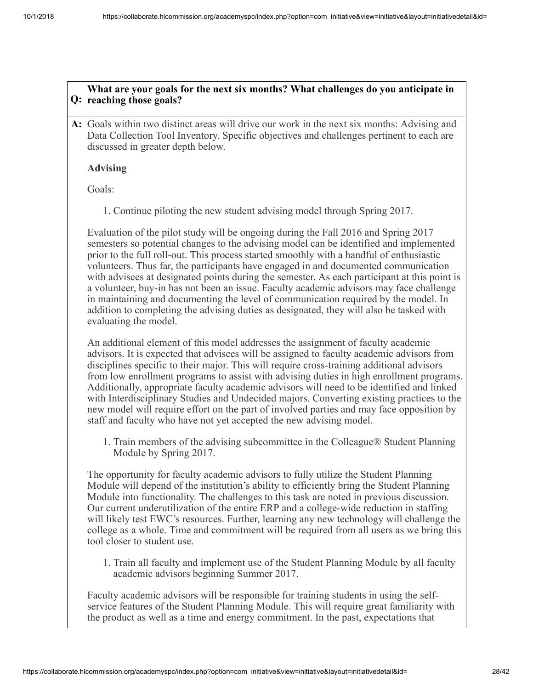#### **Q: reaching those goals? What are your goals for the next six months? What challenges do you anticipate in**

**A:** Goals within two distinct areas will drive our work in the next six months: Advising and Data Collection Tool Inventory. Specific objectives and challenges pertinent to each are discussed in greater depth below.

#### **Advising**

Goals:

1. Continue piloting the new student advising model through Spring 2017.

Evaluation of the pilot study will be ongoing during the Fall 2016 and Spring 2017 semesters so potential changes to the advising model can be identified and implemented prior to the full roll-out. This process started smoothly with a handful of enthusiastic volunteers. Thus far, the participants have engaged in and documented communication with advisees at designated points during the semester. As each participant at this point is a volunteer, buy-in has not been an issue. Faculty academic advisors may face challenge in maintaining and documenting the level of communication required by the model. In addition to completing the advising duties as designated, they will also be tasked with evaluating the model.

An additional element of this model addresses the assignment of faculty academic advisors. It is expected that advisees will be assigned to faculty academic advisors from disciplines specific to their major. This will require cross-training additional advisors from low enrollment programs to assist with advising duties in high enrollment programs. Additionally, appropriate faculty academic advisors will need to be identified and linked with Interdisciplinary Studies and Undecided majors. Converting existing practices to the new model will require effort on the part of involved parties and may face opposition by staff and faculty who have not yet accepted the new advising model.

1. Train members of the advising subcommittee in the Colleague® Student Planning Module by Spring 2017.

The opportunity for faculty academic advisors to fully utilize the Student Planning Module will depend of the institution's ability to efficiently bring the Student Planning Module into functionality. The challenges to this task are noted in previous discussion. Our current underutilization of the entire ERP and a college-wide reduction in staffing will likely test EWC's resources. Further, learning any new technology will challenge the college as a whole. Time and commitment will be required from all users as we bring this tool closer to student use.

1. Train all faculty and implement use of the Student Planning Module by all faculty academic advisors beginning Summer 2017.

Faculty academic advisors will be responsible for training students in using the selfservice features of the Student Planning Module. This will require great familiarity with the product as well as a time and energy commitment. In the past, expectations that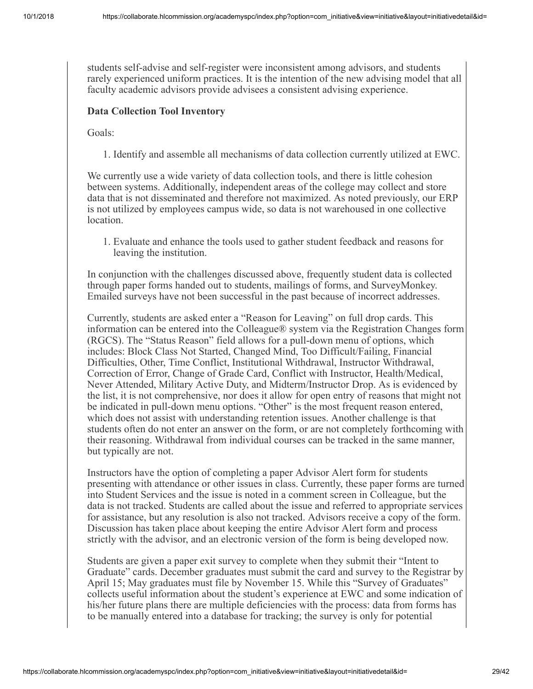students self-advise and self-register were inconsistent among advisors, and students rarely experienced uniform practices. It is the intention of the new advising model that all faculty academic advisors provide advisees a consistent advising experience.

#### **Data Collection Tool Inventory**

Goals:

1. Identify and assemble all mechanisms of data collection currently utilized at EWC.

We currently use a wide variety of data collection tools, and there is little cohesion between systems. Additionally, independent areas of the college may collect and store data that is not disseminated and therefore not maximized. As noted previously, our ERP is not utilized by employees campus wide, so data is not warehoused in one collective location.

1. Evaluate and enhance the tools used to gather student feedback and reasons for leaving the institution.

In conjunction with the challenges discussed above, frequently student data is collected through paper forms handed out to students, mailings of forms, and SurveyMonkey. Emailed surveys have not been successful in the past because of incorrect addresses.

Currently, students are asked enter a "Reason for Leaving" on full drop cards. This information can be entered into the Colleague® system via the Registration Changes form (RGCS). The "Status Reason" field allows for a pull-down menu of options, which includes: Block Class Not Started, Changed Mind, Too Difficult/Failing, Financial Difficulties, Other, Time Conflict, Institutional Withdrawal, Instructor Withdrawal, Correction of Error, Change of Grade Card, Conflict with Instructor, Health/Medical, Never Attended, Military Active Duty, and Midterm/Instructor Drop. As is evidenced by the list, it is not comprehensive, nor does it allow for open entry of reasons that might not be indicated in pull-down menu options. "Other" is the most frequent reason entered, which does not assist with understanding retention issues. Another challenge is that students often do not enter an answer on the form, or are not completely forthcoming with their reasoning. Withdrawal from individual courses can be tracked in the same manner, but typically are not.

Instructors have the option of completing a paper Advisor Alert form for students presenting with attendance or other issues in class. Currently, these paper forms are turned into Student Services and the issue is noted in a comment screen in Colleague, but the data is not tracked. Students are called about the issue and referred to appropriate services for assistance, but any resolution is also not tracked. Advisors receive a copy of the form. Discussion has taken place about keeping the entire Advisor Alert form and process strictly with the advisor, and an electronic version of the form is being developed now.

Students are given a paper exit survey to complete when they submit their "Intent to Graduate" cards. December graduates must submit the card and survey to the Registrar by April 15; May graduates must file by November 15. While this "Survey of Graduates" collects useful information about the student's experience at EWC and some indication of his/her future plans there are multiple deficiencies with the process: data from forms has to be manually entered into a database for tracking; the survey is only for potential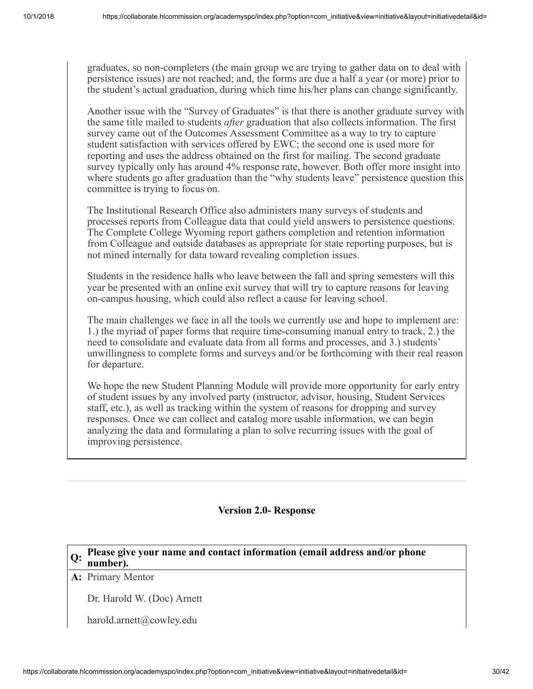graduates, so non-completers (the main group we are trying to gather data on to deal with persistence issues) are not reached; and, the forms are due a half a year (or more) prior to the student's actual graduation, during which time his/her plans can change significantly.

Another issue with the "Survey of Graduates" is that there is another graduate survey with the same title mailed to students *after* graduation that also collects information. The first survey came out of the Outcomes Assessment Committee as a way to try to capture student satisfaction with services offered by EWC; the second one is used more for reporting and uses the address obtained on the first for mailing. The second graduate survey typically only has around 4% response rate, however. Both offer more insight into where students go after graduation than the "why students leave" persistence question this committee is trying to focus on.

The Institutional Research Office also administers many surveys of students and processes reports from Colleague data that could yield answers to persistence questions. The Complete College Wyoming report gathers completion and retention information from Colleague and outside databases as appropriate for state reporting purposes, but is not mined internally for data toward revealing completion issues.

Students in the residence halls who leave between the fall and spring semesters will this year be presented with an online exit survey that will try to capture reasons for leaving on-campus housing, which could also reflect a cause for leaving school.

The main challenges we face in all the tools we currently use and hope to implement are: 1.) the myriad of paper forms that require time-consuming manual entry to track, 2.) the need to consolidate and evaluate data from all forms and processes, and 3.) students' unwillingness to complete forms and surveys and/or be forthcoming with their real reason for departure.

We hope the new Student Planning Module will provide more opportunity for early entry of student issues by any involved party (instructor, advisor, housing, Student Services staff, etc.), as well as tracking within the system of reasons for dropping and survey responses. Once we can collect and catalog more usable information, we can begin analyzing the data and formulating a plan to solve recurring issues with the goal of improving persistence.

#### **Version 2.0- Response**

# **Q: Please give your name and contact information (email address and/or phone number).**

#### **A:** Primary Mentor

Dr. Harold W. (Doc) Arnett

harold.arnett@cowley.edu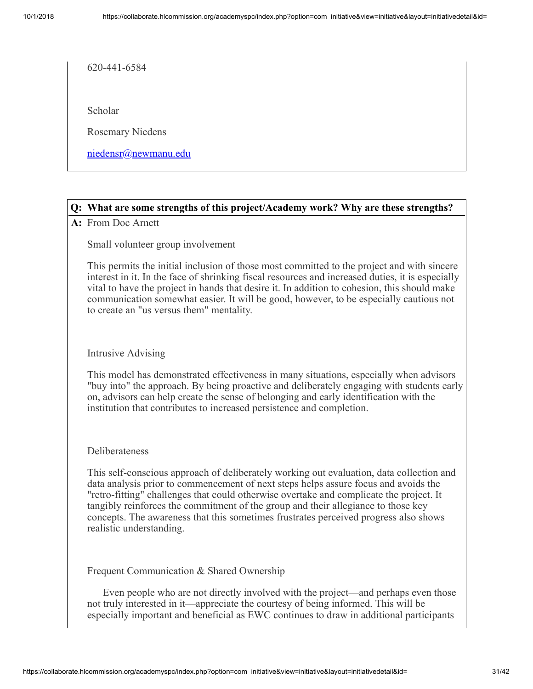620-441-6584

Scholar

Rosemary Niedens

[niedensr@newmanu.edu](mailto:niedensr@newmanu.edu)

#### **Q: What are some strengths of this project/Academy work? Why are these strengths?**

**A:** From Doc Arnett

Small volunteer group involvement

This permits the initial inclusion of those most committed to the project and with sincere interest in it. In the face of shrinking fiscal resources and increased duties, it is especially vital to have the project in hands that desire it. In addition to cohesion, this should make communication somewhat easier. It will be good, however, to be especially cautious not to create an "us versus them" mentality.

#### Intrusive Advising

This model has demonstrated effectiveness in many situations, especially when advisors "buy into" the approach. By being proactive and deliberately engaging with students early on, advisors can help create the sense of belonging and early identification with the institution that contributes to increased persistence and completion.

#### Deliberateness

This self-conscious approach of deliberately working out evaluation, data collection and data analysis prior to commencement of next steps helps assure focus and avoids the "retro-fitting" challenges that could otherwise overtake and complicate the project. It tangibly reinforces the commitment of the group and their allegiance to those key concepts. The awareness that this sometimes frustrates perceived progress also shows realistic understanding.

Frequent Communication & Shared Ownership

 Even people who are not directly involved with the project—and perhaps even those not truly interested in it—appreciate the courtesy of being informed. This will be especially important and beneficial as EWC continues to draw in additional participants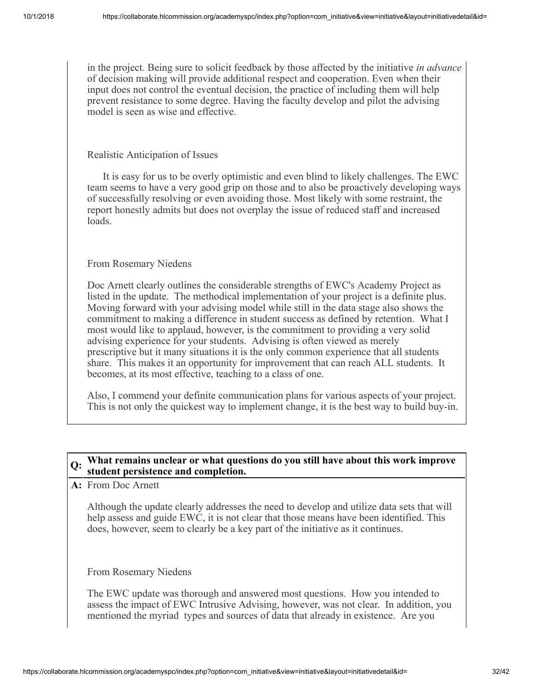in the project. Being sure to solicit feedback by those affected by the initiative *in advance* of decision making will provide additional respect and cooperation. Even when their input does not control the eventual decision, the practice of including them will help prevent resistance to some degree. Having the faculty develop and pilot the advising model is seen as wise and effective.

#### Realistic Anticipation of Issues

 It is easy for us to be overly optimistic and even blind to likely challenges. The EWC team seems to have a very good grip on those and to also be proactively developing ways of successfully resolving or even avoiding those. Most likely with some restraint, the report honestly admits but does not overplay the issue of reduced staff and increased loads.

#### From Rosemary Niedens

Doc Arnett clearly outlines the considerable strengths of EWC's Academy Project as listed in the update. The methodical implementation of your project is a definite plus. Moving forward with your advising model while still in the data stage also shows the commitment to making a difference in student success as defined by retention. What I most would like to applaud, however, is the commitment to providing a very solid advising experience for your students. Advising is often viewed as merely prescriptive but it many situations it is the only common experience that all students share. This makes it an opportunity for improvement that can reach ALL students. It becomes, at its most effective, teaching to a class of one.

Also, I commend your definite communication plans for various aspects of your project. This is not only the quickest way to implement change, it is the best way to build buy-in.

#### **Q: What remains unclear or what questions do you still have about this work improve student persistence and completion.**

**A:** From Doc Arnett

Although the update clearly addresses the need to develop and utilize data sets that will help assess and guide EWC, it is not clear that those means have been identified. This does, however, seem to clearly be a key part of the initiative as it continues.

#### From Rosemary Niedens

The EWC update was thorough and answered most questions. How you intended to assess the impact of EWC Intrusive Advising, however, was not clear. In addition, you mentioned the myriad types and sources of data that already in existence. Are you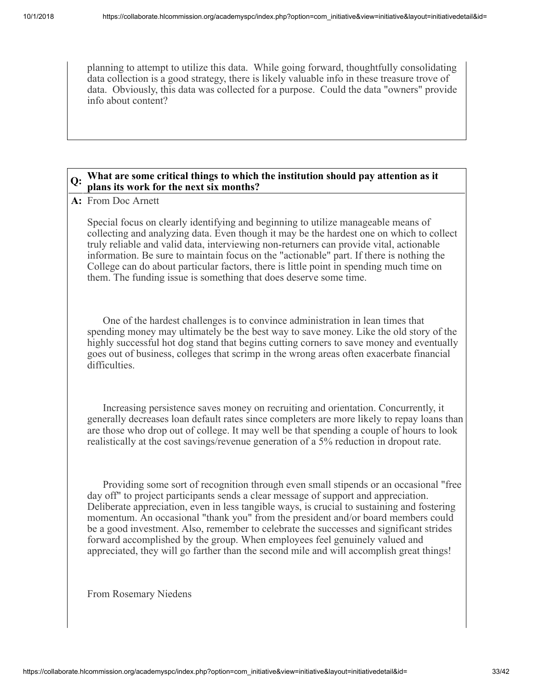planning to attempt to utilize this data. While going forward, thoughtfully consolidating data collection is a good strategy, there is likely valuable info in these treasure trove of data. Obviously, this data was collected for a purpose. Could the data "owners" provide info about content?

#### **Q: What are some critical things to which the institution should pay attention as it plans its work for the next six months?**

**A:** From Doc Arnett

Special focus on clearly identifying and beginning to utilize manageable means of collecting and analyzing data. Even though it may be the hardest one on which to collect truly reliable and valid data, interviewing non-returners can provide vital, actionable information. Be sure to maintain focus on the "actionable" part. If there is nothing the College can do about particular factors, there is little point in spending much time on them. The funding issue is something that does deserve some time.

 One of the hardest challenges is to convince administration in lean times that spending money may ultimately be the best way to save money. Like the old story of the highly successful hot dog stand that begins cutting corners to save money and eventually goes out of business, colleges that scrimp in the wrong areas often exacerbate financial difficulties.

 Increasing persistence saves money on recruiting and orientation. Concurrently, it generally decreases loan default rates since completers are more likely to repay loans than are those who drop out of college. It may well be that spending a couple of hours to look realistically at the cost savings/revenue generation of a 5% reduction in dropout rate.

 Providing some sort of recognition through even small stipends or an occasional "free day off" to project participants sends a clear message of support and appreciation. Deliberate appreciation, even in less tangible ways, is crucial to sustaining and fostering momentum. An occasional "thank you" from the president and/or board members could be a good investment. Also, remember to celebrate the successes and significant strides forward accomplished by the group. When employees feel genuinely valued and appreciated, they will go farther than the second mile and will accomplish great things!

From Rosemary Niedens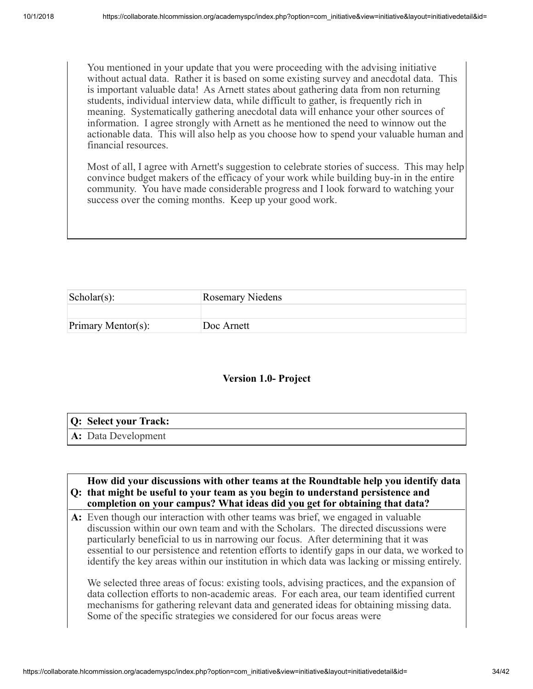You mentioned in your update that you were proceeding with the advising initiative without actual data. Rather it is based on some existing survey and anecdotal data. This is important valuable data! As Arnett states about gathering data from non returning students, individual interview data, while difficult to gather, is frequently rich in meaning. Systematically gathering anecdotal data will enhance your other sources of information. I agree strongly with Arnett as he mentioned the need to winnow out the actionable data. This will also help as you choose how to spend your valuable human and financial resources.

Most of all, I agree with Arnett's suggestion to celebrate stories of success. This may help convince budget makers of the efficacy of your work while building buy-in in the entire community. You have made considerable progress and I look forward to watching your success over the coming months. Keep up your good work.

| $\text{Scholar}(s)$ : | <b>Rosemary Niedens</b> |
|-----------------------|-------------------------|
|                       |                         |
| Primary Mentor(s):    | Doc Arnett              |

#### **Version 1.0- Project**

| Q: Select your Track:            |
|----------------------------------|
| $\mathbf{A:}\n$ Data Development |

## **Q: that might be useful to your team as you begin to understand persistence and How did your discussions with other teams at the Roundtable help you identify data completion on your campus? What ideas did you get for obtaining that data?**

**A:** Even though our interaction with other teams was brief, we engaged in valuable discussion within our own team and with the Scholars. The directed discussions were particularly beneficial to us in narrowing our focus. After determining that it was essential to our persistence and retention efforts to identify gaps in our data, we worked to identify the key areas within our institution in which data was lacking or missing entirely.

We selected three areas of focus: existing tools, advising practices, and the expansion of data collection efforts to non-academic areas. For each area, our team identified current mechanisms for gathering relevant data and generated ideas for obtaining missing data. Some of the specific strategies we considered for our focus areas were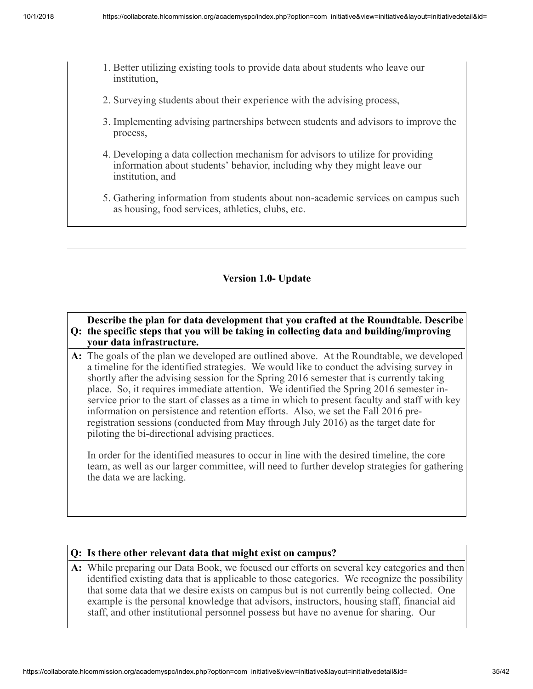- 1. Better utilizing existing tools to provide data about students who leave our institution,
- 2. Surveying students about their experience with the advising process,
- 3. Implementing advising partnerships between students and advisors to improve the process,
- 4. Developing a data collection mechanism for advisors to utilize for providing information about students' behavior, including why they might leave our institution, and
- 5. Gathering information from students about non-academic services on campus such as housing, food services, athletics, clubs, etc.

#### **Version 1.0- Update**

#### **Q: the specific steps that you will be taking in collecting data and building/improving Describe the plan for data development that you crafted at the Roundtable. Describe your data infrastructure.**

**A:** The goals of the plan we developed are outlined above. At the Roundtable, we developed a timeline for the identified strategies. We would like to conduct the advising survey in shortly after the advising session for the Spring 2016 semester that is currently taking place. So, it requires immediate attention. We identified the Spring 2016 semester inservice prior to the start of classes as a time in which to present faculty and staff with key information on persistence and retention efforts. Also, we set the Fall 2016 preregistration sessions (conducted from May through July 2016) as the target date for piloting the bi-directional advising practices.

In order for the identified measures to occur in line with the desired timeline, the core team, as well as our larger committee, will need to further develop strategies for gathering the data we are lacking.

#### **Q: Is there other relevant data that might exist on campus?**

**A:** While preparing our Data Book, we focused our efforts on several key categories and then identified existing data that is applicable to those categories. We recognize the possibility that some data that we desire exists on campus but is not currently being collected. One example is the personal knowledge that advisors, instructors, housing staff, financial aid staff, and other institutional personnel possess but have no avenue for sharing. Our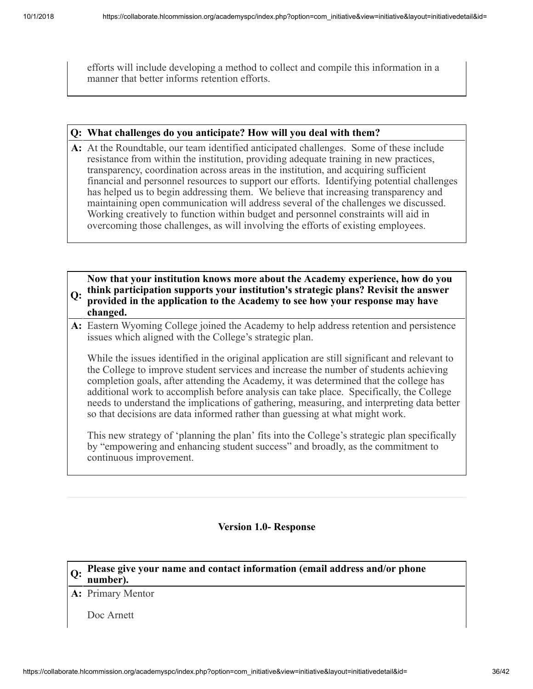efforts will include developing a method to collect and compile this information in a manner that better informs retention efforts.

#### **Q: What challenges do you anticipate? How will you deal with them?**

**A:** At the Roundtable, our team identified anticipated challenges. Some of these include resistance from within the institution, providing adequate training in new practices, transparency, coordination across areas in the institution, and acquiring sufficient financial and personnel resources to support our efforts. Identifying potential challenges has helped us to begin addressing them. We believe that increasing transparency and maintaining open communication will address several of the challenges we discussed. Working creatively to function within budget and personnel constraints will aid in overcoming those challenges, as will involving the efforts of existing employees.

#### **Q: think participation supports your institution's strategic plans? Revisit the answer Now that your institution knows more about the Academy experience, how do you provided in the application to the Academy to see how your response may have changed.**

**A:** Eastern Wyoming College joined the Academy to help address retention and persistence issues which aligned with the College's strategic plan.

While the issues identified in the original application are still significant and relevant to the College to improve student services and increase the number of students achieving completion goals, after attending the Academy, it was determined that the college has additional work to accomplish before analysis can take place. Specifically, the College needs to understand the implications of gathering, measuring, and interpreting data better so that decisions are data informed rather than guessing at what might work.

This new strategy of 'planning the plan' fits into the College's strategic plan specifically by "empowering and enhancing student success" and broadly, as the commitment to continuous improvement.

#### **Version 1.0- Response**

# **Q: Please give your name and contact information (email address and/or phone number).**

**A:** Primary Mentor

Doc Arnett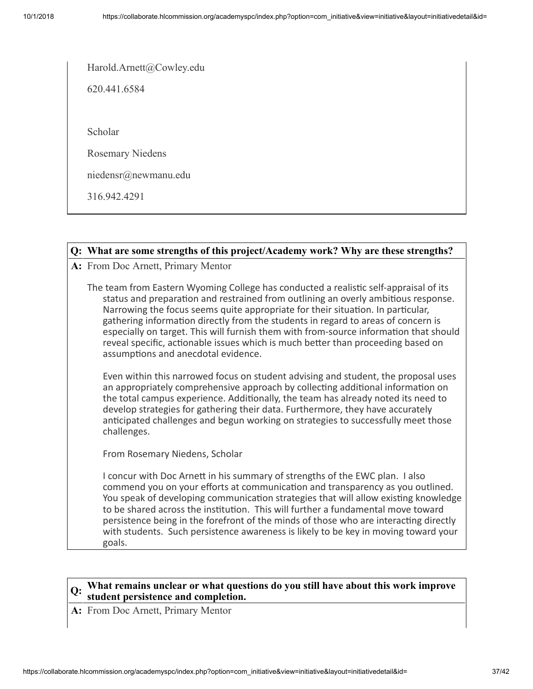Harold.Arnett@Cowley.edu

620.441.6584

Scholar

Rosemary Niedens

niedensr@newmanu.edu

316.942.4291

#### **Q: What are some strengths of this project/Academy work? Why are these strengths?**

**A:** From Doc Arnett, Primary Mentor

The team from Eastern Wyoming College has conducted a realistic self-appraisal of its status and preparation and restrained from outlining an overly ambitious response. Narrowing the focus seems quite appropriate for their situation. In particular, gathering information directly from the students in regard to areas of concern is especially on target. This will furnish them with from-source information that should reveal specific, actionable issues which is much better than proceeding based on assumptions and anecdotal evidence.

Even within this narrowed focus on student advising and student, the proposal uses an appropriately comprehensive approach by collecting additional information on the total campus experience. Additionally, the team has already noted its need to develop strategies for gathering their data. Furthermore, they have accurately anticipated challenges and begun working on strategies to successfully meet those challenges.

From Rosemary Niedens, Scholar

I concur with Doc Arnett in his summary of strengths of the EWC plan. I also commend you on your efforts at communication and transparency as you outlined. You speak of developing communication strategies that will allow existing knowledge to be shared across the institution. This will further a fundamental move toward persistence being in the forefront of the minds of those who are interacting directly with students. Such persistence awareness is likely to be key in moving toward your goals.

#### **Q: What remains unclear or what questions do you still have about this work improve student persistence and completion.**

**A:** From Doc Arnett, Primary Mentor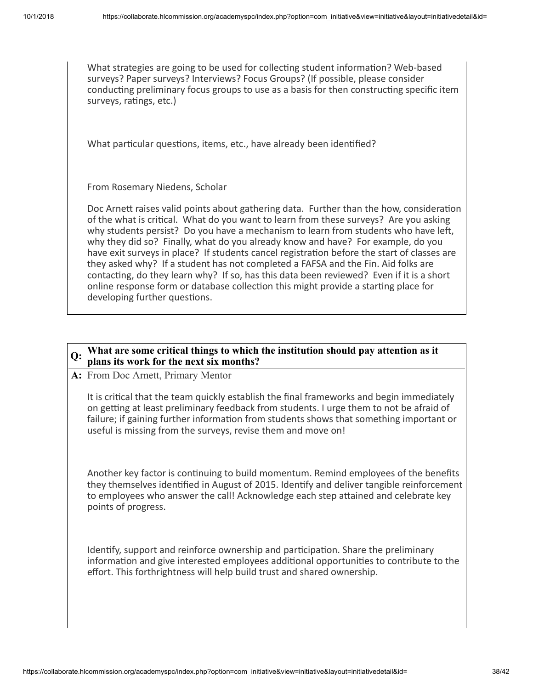What strategies are going to be used for collecting student information? Web-based surveys? Paper surveys? Interviews? Focus Groups? (If possible, please consider conducting preliminary focus groups to use as a basis for then constructing specific item surveys, ratings, etc.)

What particular questions, items, etc., have already been identified?

From Rosemary Niedens, Scholar

Doc Arnett raises valid points about gathering data. Further than the how, consideration of the what is critical. What do you want to learn from these surveys? Are you asking why students persist? Do you have a mechanism to learn from students who have left, why they did so? Finally, what do you already know and have? For example, do you have exit surveys in place? If students cancel registration before the start of classes are they asked why? If a student has not completed a FAFSA and the Fin. Aid folks are contacting, do they learn why? If so, has this data been reviewed? Even if it is a short online response form or database collection this might provide a starting place for developing further questions.

#### **Q: What are some critical things to which the institution should pay attention as it plans its work for the next six months?**

**A:** From Doc Arnett, Primary Mentor

It is critical that the team quickly establish the final frameworks and begin immediately on getting at least preliminary feedback from students. I urge them to not be afraid of failure; if gaining further information from students shows that something important or useful is missing from the surveys, revise them and move on!

Another key factor is continuing to build momentum. Remind employees of the benefits they themselves identified in August of 2015. Identify and deliver tangible reinforcement to employees who answer the call! Acknowledge each step attained and celebrate key points of progress.

Identify, support and reinforce ownership and participation. Share the preliminary information and give interested employees additional opportunities to contribute to the effort. This forthrightness will help build trust and shared ownership.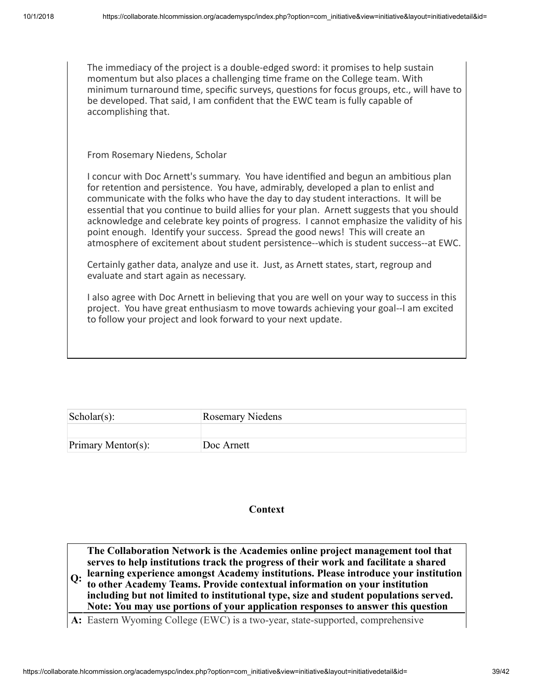The immediacy of the project is a double-edged sword: it promises to help sustain momentum but also places a challenging time frame on the College team. With minimum turnaround time, specific surveys, questions for focus groups, etc., will have to be developed. That said, I am confident that the EWC team is fully capable of accomplishing that.

From Rosemary Niedens, Scholar

I concur with Doc Arnett's summary. You have identified and begun an ambitious plan for retention and persistence. You have, admirably, developed a plan to enlist and communicate with the folks who have the day to day student interactions. It will be essential that you continue to build allies for your plan. Arnett suggests that you should acknowledge and celebrate key points of progress. I cannot emphasize the validity of his point enough. Identify your success. Spread the good news! This will create an atmosphere of excitement about student persistence--which is student success--at EWC.

Certainly gather data, analyze and use it. Just, as Arnett states, start, regroup and evaluate and start again as necessary.

I also agree with Doc Arnett in believing that you are well on your way to success in this project. You have great enthusiasm to move towards achieving your goal--I am excited to follow your project and look forward to your next update.

| $\text{Scholar}(s)$ : | <b>Rosemary Niedens</b> |
|-----------------------|-------------------------|
|                       |                         |
| Primary Mentor(s):    | Doc Arnett              |

#### **Context**

**Q: learning experience amongst Academy institutions. Please introduce your institution The Collaboration Network is the Academies online project management tool that serves to help institutions track the progress of their work and facilitate a shared to other Academy Teams. Provide contextual information on your institution including but not limited to institutional type, size and student populations served. Note: You may use portions of your application responses to answer this question**

**A:** Eastern Wyoming College (EWC) is a two-year, state-supported, comprehensive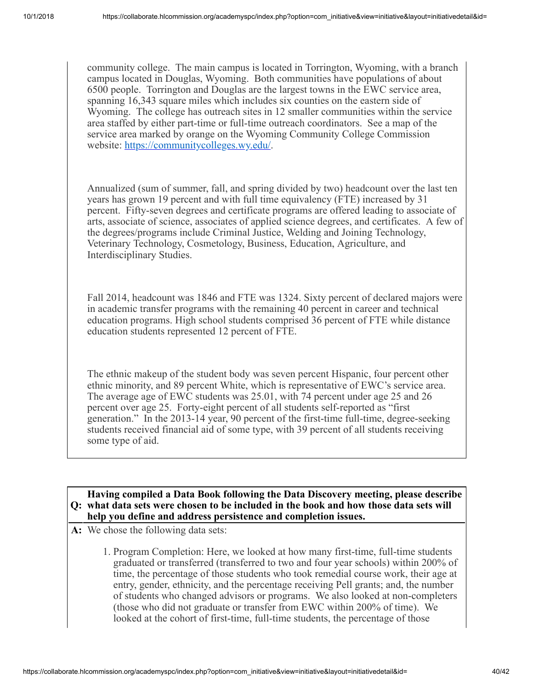community college. The main campus is located in Torrington, Wyoming, with a branch campus located in Douglas, Wyoming. Both communities have populations of about 6500 people. Torrington and Douglas are the largest towns in the EWC service area, spanning 16,343 square miles which includes six counties on the eastern side of Wyoming. The college has outreach sites in 12 smaller communities within the service area staffed by either part-time or full-time outreach coordinators. See a map of the service area marked by orange on the Wyoming Community College Commission website:<https://communitycolleges.wy.edu/>.

Annualized (sum of summer, fall, and spring divided by two) headcount over the last ten years has grown 19 percent and with full time equivalency (FTE) increased by 31 percent. Fifty-seven degrees and certificate programs are offered leading to associate of arts, associate of science, associates of applied science degrees, and certificates. A few of the degrees/programs include Criminal Justice, Welding and Joining Technology, Veterinary Technology, Cosmetology, Business, Education, Agriculture, and Interdisciplinary Studies.

Fall 2014, headcount was 1846 and FTE was 1324. Sixty percent of declared majors were in academic transfer programs with the remaining 40 percent in career and technical education programs. High school students comprised 36 percent of FTE while distance education students represented 12 percent of FTE.

The ethnic makeup of the student body was seven percent Hispanic, four percent other ethnic minority, and 89 percent White, which is representative of EWC's service area. The average age of EWC students was 25.01, with 74 percent under age 25 and 26 percent over age 25. Forty-eight percent of all students self-reported as "first generation." In the 2013-14 year, 90 percent of the first-time full-time, degree-seeking students received financial aid of some type, with 39 percent of all students receiving some type of aid.

#### **Q: what data sets were chosen to be included in the book and how those data sets will Having compiled a Data Book following the Data Discovery meeting, please describe help you define and address persistence and completion issues.**

- **A:** We chose the following data sets:
	- 1. Program Completion: Here, we looked at how many first-time, full-time students graduated or transferred (transferred to two and four year schools) within 200% of time, the percentage of those students who took remedial course work, their age at entry, gender, ethnicity, and the percentage receiving Pell grants; and, the number of students who changed advisors or programs. We also looked at non-completers (those who did not graduate or transfer from EWC within 200% of time). We looked at the cohort of first-time, full-time students, the percentage of those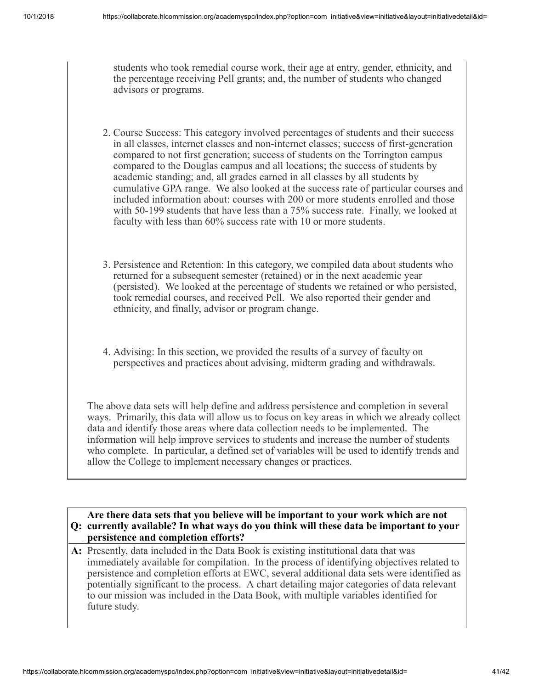students who took remedial course work, their age at entry, gender, ethnicity, and the percentage receiving Pell grants; and, the number of students who changed advisors or programs.

- 2. Course Success: This category involved percentages of students and their success in all classes, internet classes and non-internet classes; success of first-generation compared to not first generation; success of students on the Torrington campus compared to the Douglas campus and all locations; the success of students by academic standing; and, all grades earned in all classes by all students by cumulative GPA range. We also looked at the success rate of particular courses and included information about: courses with 200 or more students enrolled and those with 50-199 students that have less than a 75% success rate. Finally, we looked at faculty with less than 60% success rate with 10 or more students.
- 3. Persistence and Retention: In this category, we compiled data about students who returned for a subsequent semester (retained) or in the next academic year (persisted). We looked at the percentage of students we retained or who persisted, took remedial courses, and received Pell. We also reported their gender and ethnicity, and finally, advisor or program change.
- 4. Advising: In this section, we provided the results of a survey of faculty on perspectives and practices about advising, midterm grading and withdrawals.

The above data sets will help define and address persistence and completion in several ways. Primarily, this data will allow us to focus on key areas in which we already collect data and identify those areas where data collection needs to be implemented. The information will help improve services to students and increase the number of students who complete. In particular, a defined set of variables will be used to identify trends and allow the College to implement necessary changes or practices.

#### **Q: currently available? In what ways do you think will these data be important to your Are there data sets that you believe will be important to your work which are not persistence and completion efforts?**

**A:** Presently, data included in the Data Book is existing institutional data that was immediately available for compilation. In the process of identifying objectives related to persistence and completion efforts at EWC, several additional data sets were identified as potentially significant to the process. A chart detailing major categories of data relevant to our mission was included in the Data Book, with multiple variables identified for future study.